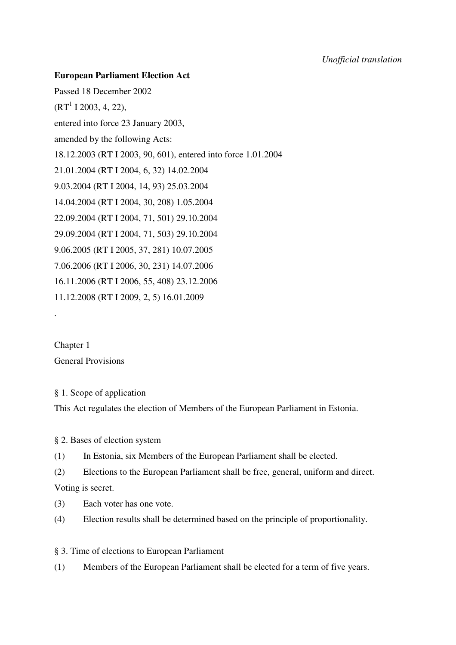## **European Parliament Election Act**

Passed 18 December 2002  $(RT<sup>1</sup> I 2003, 4, 22),$ entered into force 23 January 2003, amended by the following Acts: 18.12.2003 (RT I 2003, 90, 601), entered into force 1.01.2004 21.01.2004 (RT I 2004, 6, 32) 14.02.2004 9.03.2004 (RT I 2004, 14, 93) 25.03.2004 14.04.2004 (RT I 2004, 30, 208) 1.05.2004 22.09.2004 (RT I 2004, 71, 501) 29.10.2004 29.09.2004 (RT I 2004, 71, 503) 29.10.2004 9.06.2005 (RT I 2005, 37, 281) 10.07.2005 7.06.2006 (RT I 2006, 30, 231) 14.07.2006 16.11.2006 (RT I 2006, 55, 408) 23.12.2006 11.12.2008 (RT I 2009, 2, 5) 16.01.2009

Chapter 1 General Provisions

.

# § 1. Scope of application This Act regulates the election of Members of the European Parliament in Estonia.

§ 2. Bases of election system

(1) In Estonia, six Members of the European Parliament shall be elected.

(2) Elections to the European Parliament shall be free, general, uniform and direct. Voting is secret.

(3) Each voter has one vote.

(4) Election results shall be determined based on the principle of proportionality.

§ 3. Time of elections to European Parliament

(1) Members of the European Parliament shall be elected for a term of five years.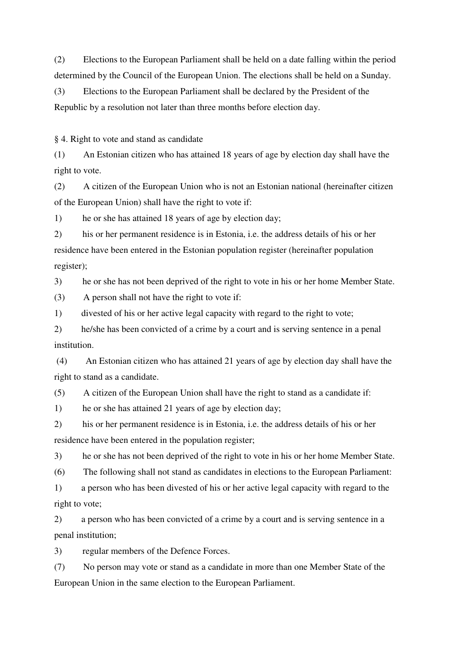(2) Elections to the European Parliament shall be held on a date falling within the period determined by the Council of the European Union. The elections shall be held on a Sunday.

(3) Elections to the European Parliament shall be declared by the President of the Republic by a resolution not later than three months before election day.

§ 4. Right to vote and stand as candidate

(1) An Estonian citizen who has attained 18 years of age by election day shall have the right to vote.

(2) A citizen of the European Union who is not an Estonian national (hereinafter citizen of the European Union) shall have the right to vote if:

1) he or she has attained 18 years of age by election day;

2) his or her permanent residence is in Estonia, i.e. the address details of his or her residence have been entered in the Estonian population register (hereinafter population register);

3) he or she has not been deprived of the right to vote in his or her home Member State.

(3) A person shall not have the right to vote if:

1) divested of his or her active legal capacity with regard to the right to vote;

2) he/she has been convicted of a crime by a court and is serving sentence in a penal institution.

(4) An Estonian citizen who has attained 21 years of age by election day shall have the right to stand as a candidate.

(5) A citizen of the European Union shall have the right to stand as a candidate if:

1) he or she has attained 21 years of age by election day;

2) his or her permanent residence is in Estonia, i.e. the address details of his or her residence have been entered in the population register;

3) he or she has not been deprived of the right to vote in his or her home Member State.

(6) The following shall not stand as candidates in elections to the European Parliament:

1) a person who has been divested of his or her active legal capacity with regard to the right to vote;

2) a person who has been convicted of a crime by a court and is serving sentence in a penal institution;

3) regular members of the Defence Forces.

(7) No person may vote or stand as a candidate in more than one Member State of the European Union in the same election to the European Parliament.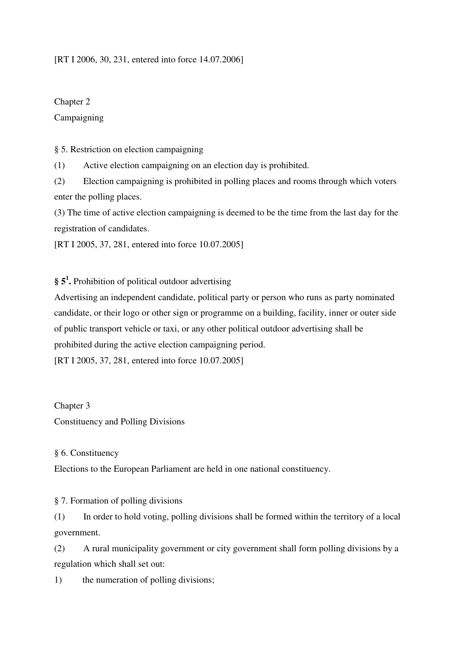## [RT I 2006, 30, 231, entered into force 14.07.2006]

Chapter 2 Campaigning

§ 5. Restriction on election campaigning

(1) Active election campaigning on an election day is prohibited.

(2) Election campaigning is prohibited in polling places and rooms through which voters enter the polling places.

(3) The time of active election campaigning is deemed to be the time from the last day for the registration of candidates.

[RT I 2005, 37, 281, entered into force 10.07.2005]

**§ 5 1 .** Prohibition of political outdoor advertising

Advertising an independent candidate, political party or person who runs as party nominated candidate, or their logo or other sign or programme on a building, facility, inner or outer side of public transport vehicle or taxi, or any other political outdoor advertising shall be prohibited during the active election campaigning period. [RT I 2005, 37, 281, entered into force 10.07.2005]

Chapter 3

Constituency and Polling Divisions

## § 6. Constituency

Elections to the European Parliament are held in one national constituency.

§ 7. Formation of polling divisions

(1) In order to hold voting, polling divisions shall be formed within the territory of a local government.

(2) A rural municipality government or city government shall form polling divisions by a regulation which shall set out:

1) the numeration of polling divisions;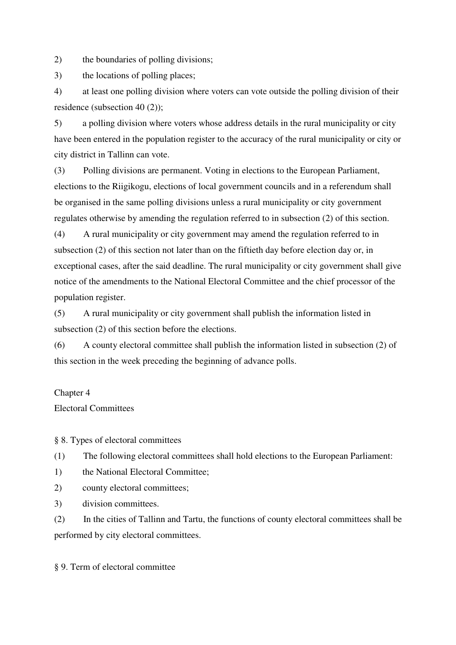2) the boundaries of polling divisions;

3) the locations of polling places;

4) at least one polling division where voters can vote outside the polling division of their residence (subsection 40 (2));

5) a polling division where voters whose address details in the rural municipality or city have been entered in the population register to the accuracy of the rural municipality or city or city district in Tallinn can vote.

(3) Polling divisions are permanent. Voting in elections to the European Parliament, elections to the Riigikogu, elections of local government councils and in a referendum shall be organised in the same polling divisions unless a rural municipality or city government regulates otherwise by amending the regulation referred to in subsection (2) of this section.

(4) A rural municipality or city government may amend the regulation referred to in subsection (2) of this section not later than on the fiftieth day before election day or, in exceptional cases, after the said deadline. The rural municipality or city government shall give notice of the amendments to the National Electoral Committee and the chief processor of the population register.

(5) A rural municipality or city government shall publish the information listed in subsection (2) of this section before the elections.

(6) A county electoral committee shall publish the information listed in subsection (2) of this section in the week preceding the beginning of advance polls.

## Chapter 4

Electoral Committees

§ 8. Types of electoral committees

(1) The following electoral committees shall hold elections to the European Parliament:

1) the National Electoral Committee;

2) county electoral committees;

3) division committees.

(2) In the cities of Tallinn and Tartu, the functions of county electoral committees shall be performed by city electoral committees.

§ 9. Term of electoral committee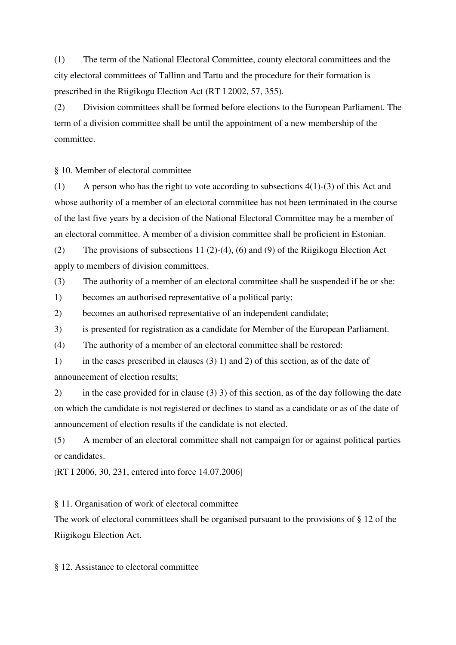(1) The term of the National Electoral Committee, county electoral committees and the city electoral committees of Tallinn and Tartu and the procedure for their formation is prescribed in the Riigikogu Election Act (RT I 2002, 57, 355).

(2) Division committees shall be formed before elections to the European Parliament. The term of a division committee shall be until the appointment of a new membership of the committee.

§ 10. Member of electoral committee

(1) A person who has the right to vote according to subsections  $4(1)-(3)$  of this Act and whose authority of a member of an electoral committee has not been terminated in the course of the last five years by a decision of the National Electoral Committee may be a member of an electoral committee. A member of a division committee shall be proficient in Estonian.

(2) The provisions of subsections 11 (2)-(4), (6) and (9) of the Riigikogu Election Act apply to members of division committees.

(3) The authority of a member of an electoral committee shall be suspended if he or she:

1) becomes an authorised representative of a political party;

2) becomes an authorised representative of an independent candidate;

3) is presented for registration as a candidate for Member of the European Parliament.

(4) The authority of a member of an electoral committee shall be restored:

1) in the cases prescribed in clauses (3) 1) and 2) of this section, as of the date of announcement of election results;

2) in the case provided for in clause (3) 3) of this section, as of the day following the date on which the candidate is not registered or declines to stand as a candidate or as of the date of announcement of election results if the candidate is not elected.

(5) A member of an electoral committee shall not campaign for or against political parties or candidates.

[RT I 2006, 30, 231, entered into force 14.07.2006]

§ 11. Organisation of work of electoral committee

The work of electoral committees shall be organised pursuant to the provisions of § 12 of the Riigikogu Election Act.

§ 12. Assistance to electoral committee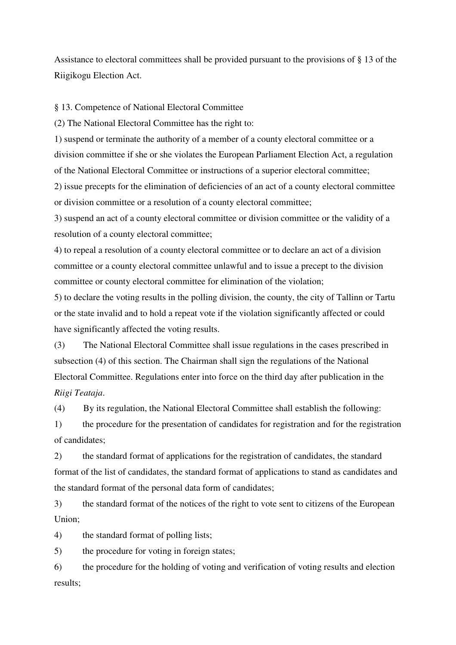Assistance to electoral committees shall be provided pursuant to the provisions of § 13 of the Riigikogu Election Act.

§ 13. Competence of National Electoral Committee

(2) The National Electoral Committee has the right to:

1) suspend or terminate the authority of a member of a county electoral committee or a division committee if she or she violates the European Parliament Election Act, a regulation of the National Electoral Committee or instructions of a superior electoral committee;

2) issue precepts for the elimination of deficiencies of an act of a county electoral committee or division committee or a resolution of a county electoral committee;

3) suspend an act of a county electoral committee or division committee or the validity of a resolution of a county electoral committee;

4) to repeal a resolution of a county electoral committee or to declare an act of a division committee or a county electoral committee unlawful and to issue a precept to the division committee or county electoral committee for elimination of the violation;

5) to declare the voting results in the polling division, the county, the city of Tallinn or Tartu or the state invalid and to hold a repeat vote if the violation significantly affected or could have significantly affected the voting results.

(3) The National Electoral Committee shall issue regulations in the cases prescribed in subsection (4) of this section. The Chairman shall sign the regulations of the National Electoral Committee. Regulations enter into force on the third day after publication in the *Riigi Teataja*.

(4) By its regulation, the National Electoral Committee shall establish the following:

1) the procedure for the presentation of candidates for registration and for the registration of candidates;

2) the standard format of applications for the registration of candidates, the standard format of the list of candidates, the standard format of applications to stand as candidates and the standard format of the personal data form of candidates;

3) the standard format of the notices of the right to vote sent to citizens of the European Union;

4) the standard format of polling lists;

5) the procedure for voting in foreign states;

6) the procedure for the holding of voting and verification of voting results and election results;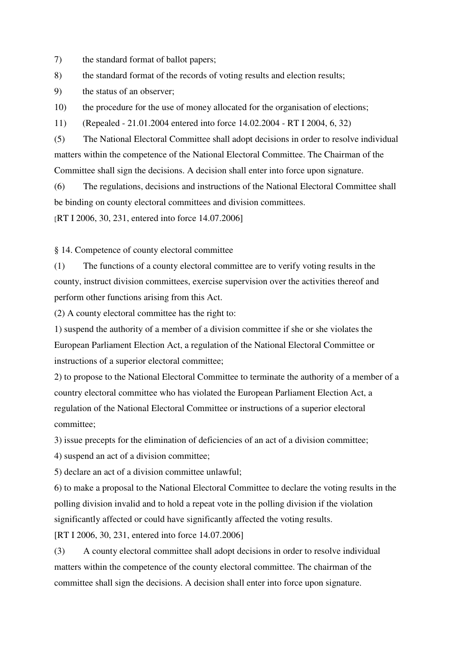7) the standard format of ballot papers;

8) the standard format of the records of voting results and election results;

9) the status of an observer;

10) the procedure for the use of money allocated for the organisation of elections;

11) (Repealed - 21.01.2004 entered into force 14.02.2004 - RT I 2004, 6, 32)

(5) The National Electoral Committee shall adopt decisions in order to resolve individual matters within the competence of the National Electoral Committee. The Chairman of the Committee shall sign the decisions. A decision shall enter into force upon signature.

(6) The regulations, decisions and instructions of the National Electoral Committee shall be binding on county electoral committees and division committees.

[RT I 2006, 30, 231, entered into force 14.07.2006]

§ 14. Competence of county electoral committee

(1) The functions of a county electoral committee are to verify voting results in the county, instruct division committees, exercise supervision over the activities thereof and perform other functions arising from this Act.

(2) A county electoral committee has the right to:

1) suspend the authority of a member of a division committee if she or she violates the European Parliament Election Act, a regulation of the National Electoral Committee or instructions of a superior electoral committee;

2) to propose to the National Electoral Committee to terminate the authority of a member of a country electoral committee who has violated the European Parliament Election Act, a regulation of the National Electoral Committee or instructions of a superior electoral committee;

3) issue precepts for the elimination of deficiencies of an act of a division committee;

4) suspend an act of a division committee;

5) declare an act of a division committee unlawful;

6) to make a proposal to the National Electoral Committee to declare the voting results in the polling division invalid and to hold a repeat vote in the polling division if the violation significantly affected or could have significantly affected the voting results.

[RT I 2006, 30, 231, entered into force 14.07.2006]

(3) A county electoral committee shall adopt decisions in order to resolve individual matters within the competence of the county electoral committee. The chairman of the committee shall sign the decisions. A decision shall enter into force upon signature.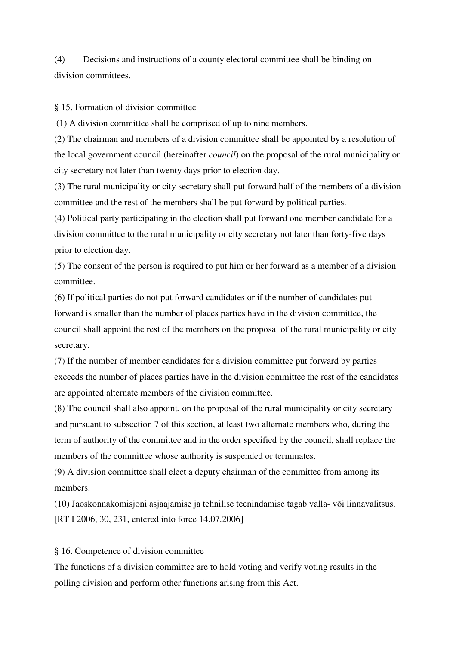(4) Decisions and instructions of a county electoral committee shall be binding on division committees.

§ 15. Formation of division committee

(1) A division committee shall be comprised of up to nine members.

(2) The chairman and members of a division committee shall be appointed by a resolution of the local government council (hereinafter *council*) on the proposal of the rural municipality or city secretary not later than twenty days prior to election day.

(3) The rural municipality or city secretary shall put forward half of the members of a division committee and the rest of the members shall be put forward by political parties.

(4) Political party participating in the election shall put forward one member candidate for a division committee to the rural municipality or city secretary not later than forty-five days prior to election day.

(5) The consent of the person is required to put him or her forward as a member of a division committee.

(6) If political parties do not put forward candidates or if the number of candidates put forward is smaller than the number of places parties have in the division committee, the council shall appoint the rest of the members on the proposal of the rural municipality or city secretary.

(7) If the number of member candidates for a division committee put forward by parties exceeds the number of places parties have in the division committee the rest of the candidates are appointed alternate members of the division committee.

(8) The council shall also appoint, on the proposal of the rural municipality or city secretary and pursuant to subsection 7 of this section, at least two alternate members who, during the term of authority of the committee and in the order specified by the council, shall replace the members of the committee whose authority is suspended or terminates.

(9) A division committee shall elect a deputy chairman of the committee from among its members.

(10) Jaoskonnakomisjoni asjaajamise ja tehnilise teenindamise tagab valla- või linnavalitsus. [RT I 2006, 30, 231, entered into force 14.07.2006]

### § 16. Competence of division committee

The functions of a division committee are to hold voting and verify voting results in the polling division and perform other functions arising from this Act.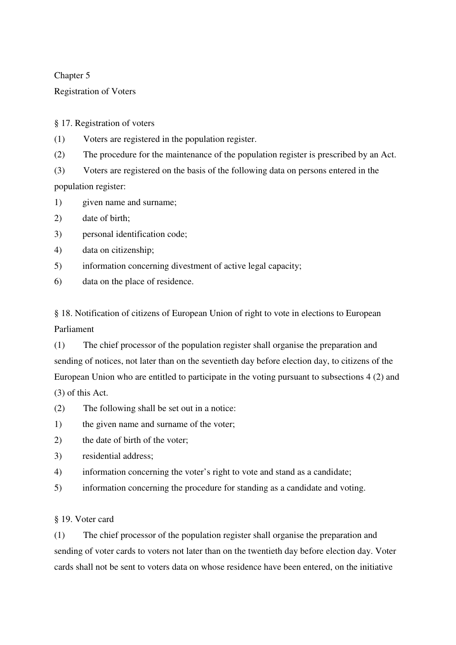## Chapter 5

## Registration of Voters

§ 17. Registration of voters

(1) Voters are registered in the population register.

(2) The procedure for the maintenance of the population register is prescribed by an Act.

(3) Voters are registered on the basis of the following data on persons entered in the

population register:

- 1) given name and surname;
- 2) date of birth;
- 3) personal identification code;
- 4) data on citizenship;
- 5) information concerning divestment of active legal capacity;
- 6) data on the place of residence.

§ 18. Notification of citizens of European Union of right to vote in elections to European Parliament

(1) The chief processor of the population register shall organise the preparation and sending of notices, not later than on the seventieth day before election day, to citizens of the European Union who are entitled to participate in the voting pursuant to subsections 4 (2) and (3) of this Act.

- (2) The following shall be set out in a notice:
- 1) the given name and surname of the voter;
- 2) the date of birth of the voter;
- 3) residential address;
- 4) information concerning the voter's right to vote and stand as a candidate;
- 5) information concerning the procedure for standing as a candidate and voting.

§ 19. Voter card

(1) The chief processor of the population register shall organise the preparation and sending of voter cards to voters not later than on the twentieth day before election day. Voter cards shall not be sent to voters data on whose residence have been entered, on the initiative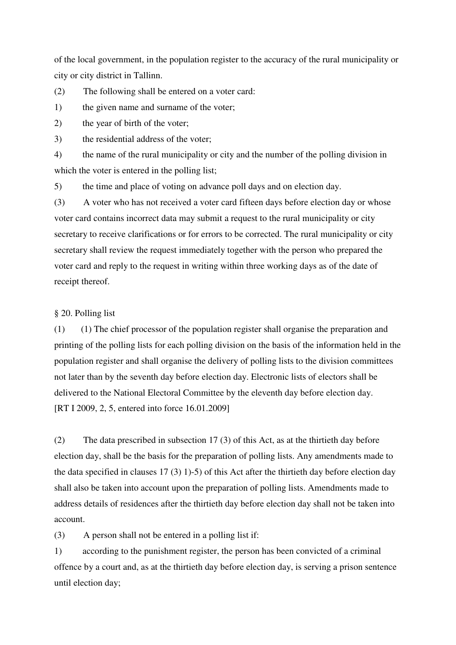of the local government, in the population register to the accuracy of the rural municipality or city or city district in Tallinn.

(2) The following shall be entered on a voter card:

1) the given name and surname of the voter;

2) the year of birth of the voter;

3) the residential address of the voter;

4) the name of the rural municipality or city and the number of the polling division in which the voter is entered in the polling list;

5) the time and place of voting on advance poll days and on election day.

(3) A voter who has not received a voter card fifteen days before election day or whose voter card contains incorrect data may submit a request to the rural municipality or city secretary to receive clarifications or for errors to be corrected. The rural municipality or city secretary shall review the request immediately together with the person who prepared the voter card and reply to the request in writing within three working days as of the date of receipt thereof.

## § 20. Polling list

(1) (1) The chief processor of the population register shall organise the preparation and printing of the polling lists for each polling division on the basis of the information held in the population register and shall organise the delivery of polling lists to the division committees not later than by the seventh day before election day. Electronic lists of electors shall be delivered to the National Electoral Committee by the eleventh day before election day. [RT I 2009, 2, 5, entered into force 16.01.2009]

(2) The data prescribed in subsection 17 (3) of this Act, as at the thirtieth day before election day, shall be the basis for the preparation of polling lists. Any amendments made to the data specified in clauses 17 (3) 1)-5) of this Act after the thirtieth day before election day shall also be taken into account upon the preparation of polling lists. Amendments made to address details of residences after the thirtieth day before election day shall not be taken into account.

(3) A person shall not be entered in a polling list if:

1) according to the punishment register, the person has been convicted of a criminal offence by a court and, as at the thirtieth day before election day, is serving a prison sentence until election day;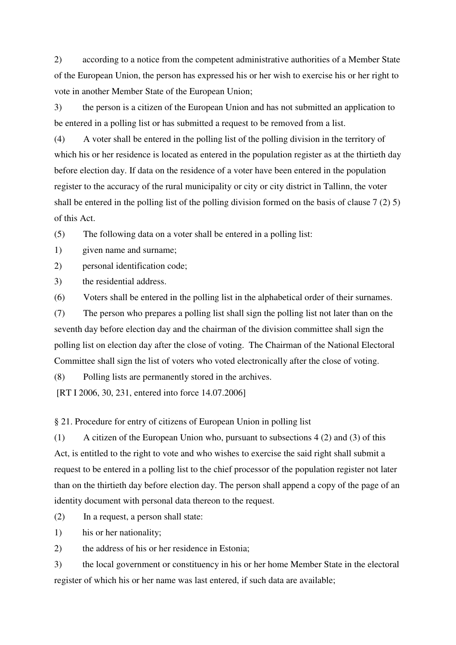2) according to a notice from the competent administrative authorities of a Member State of the European Union, the person has expressed his or her wish to exercise his or her right to vote in another Member State of the European Union;

3) the person is a citizen of the European Union and has not submitted an application to be entered in a polling list or has submitted a request to be removed from a list.

(4) A voter shall be entered in the polling list of the polling division in the territory of which his or her residence is located as entered in the population register as at the thirtieth day before election day. If data on the residence of a voter have been entered in the population register to the accuracy of the rural municipality or city or city district in Tallinn, the voter shall be entered in the polling list of the polling division formed on the basis of clause 7 (2) 5) of this Act.

(5) The following data on a voter shall be entered in a polling list:

1) given name and surname;

2) personal identification code;

3) the residential address.

(6) Voters shall be entered in the polling list in the alphabetical order of their surnames.

(7) The person who prepares a polling list shall sign the polling list not later than on the seventh day before election day and the chairman of the division committee shall sign the polling list on election day after the close of voting. The Chairman of the National Electoral Committee shall sign the list of voters who voted electronically after the close of voting.

(8) Polling lists are permanently stored in the archives.

[RT I 2006, 30, 231, entered into force 14.07.2006]

§ 21. Procedure for entry of citizens of European Union in polling list

(1) A citizen of the European Union who, pursuant to subsections 4 (2) and (3) of this Act, is entitled to the right to vote and who wishes to exercise the said right shall submit a request to be entered in a polling list to the chief processor of the population register not later than on the thirtieth day before election day. The person shall append a copy of the page of an identity document with personal data thereon to the request.

(2) In a request, a person shall state:

1) his or her nationality;

2) the address of his or her residence in Estonia;

3) the local government or constituency in his or her home Member State in the electoral register of which his or her name was last entered, if such data are available;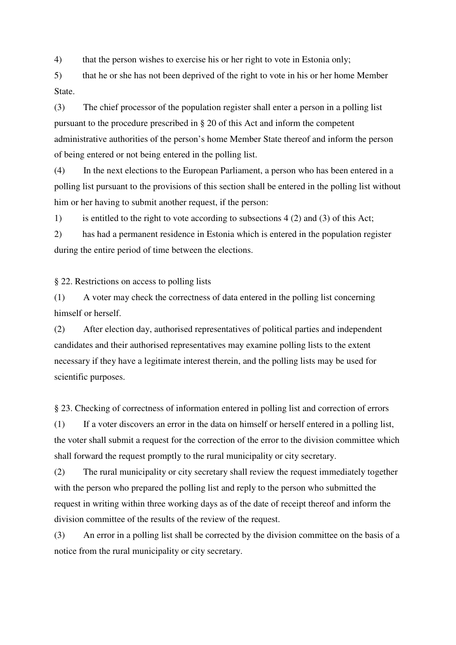4) that the person wishes to exercise his or her right to vote in Estonia only;

5) that he or she has not been deprived of the right to vote in his or her home Member State.

(3) The chief processor of the population register shall enter a person in a polling list pursuant to the procedure prescribed in § 20 of this Act and inform the competent administrative authorities of the person's home Member State thereof and inform the person of being entered or not being entered in the polling list.

(4) In the next elections to the European Parliament, a person who has been entered in a polling list pursuant to the provisions of this section shall be entered in the polling list without him or her having to submit another request, if the person:

1) is entitled to the right to vote according to subsections 4 (2) and (3) of this Act;

2) has had a permanent residence in Estonia which is entered in the population register during the entire period of time between the elections.

§ 22. Restrictions on access to polling lists

(1) A voter may check the correctness of data entered in the polling list concerning himself or herself.

(2) After election day, authorised representatives of political parties and independent candidates and their authorised representatives may examine polling lists to the extent necessary if they have a legitimate interest therein, and the polling lists may be used for scientific purposes.

§ 23. Checking of correctness of information entered in polling list and correction of errors

(1) If a voter discovers an error in the data on himself or herself entered in a polling list, the voter shall submit a request for the correction of the error to the division committee which shall forward the request promptly to the rural municipality or city secretary.

(2) The rural municipality or city secretary shall review the request immediately together with the person who prepared the polling list and reply to the person who submitted the request in writing within three working days as of the date of receipt thereof and inform the division committee of the results of the review of the request.

(3) An error in a polling list shall be corrected by the division committee on the basis of a notice from the rural municipality or city secretary.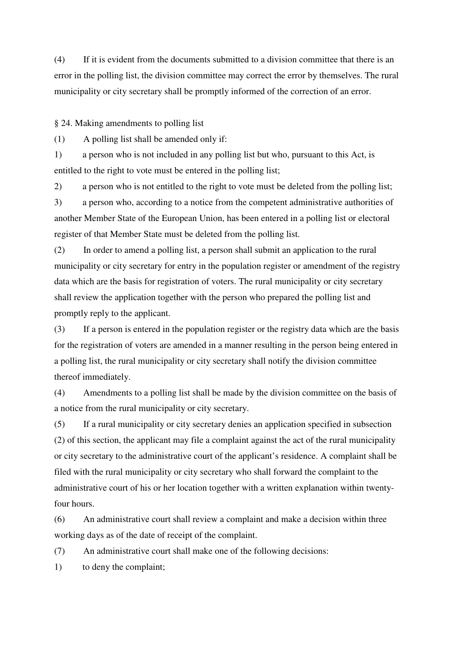(4) If it is evident from the documents submitted to a division committee that there is an error in the polling list, the division committee may correct the error by themselves. The rural municipality or city secretary shall be promptly informed of the correction of an error.

§ 24. Making amendments to polling list

(1) A polling list shall be amended only if:

1) a person who is not included in any polling list but who, pursuant to this Act, is entitled to the right to vote must be entered in the polling list;

2) a person who is not entitled to the right to vote must be deleted from the polling list;

3) a person who, according to a notice from the competent administrative authorities of another Member State of the European Union, has been entered in a polling list or electoral register of that Member State must be deleted from the polling list.

(2) In order to amend a polling list, a person shall submit an application to the rural municipality or city secretary for entry in the population register or amendment of the registry data which are the basis for registration of voters. The rural municipality or city secretary shall review the application together with the person who prepared the polling list and promptly reply to the applicant.

(3) If a person is entered in the population register or the registry data which are the basis for the registration of voters are amended in a manner resulting in the person being entered in a polling list, the rural municipality or city secretary shall notify the division committee thereof immediately.

(4) Amendments to a polling list shall be made by the division committee on the basis of a notice from the rural municipality or city secretary.

(5) If a rural municipality or city secretary denies an application specified in subsection (2) of this section, the applicant may file a complaint against the act of the rural municipality or city secretary to the administrative court of the applicant's residence. A complaint shall be filed with the rural municipality or city secretary who shall forward the complaint to the administrative court of his or her location together with a written explanation within twentyfour hours.

(6) An administrative court shall review a complaint and make a decision within three working days as of the date of receipt of the complaint.

(7) An administrative court shall make one of the following decisions:

1) to deny the complaint;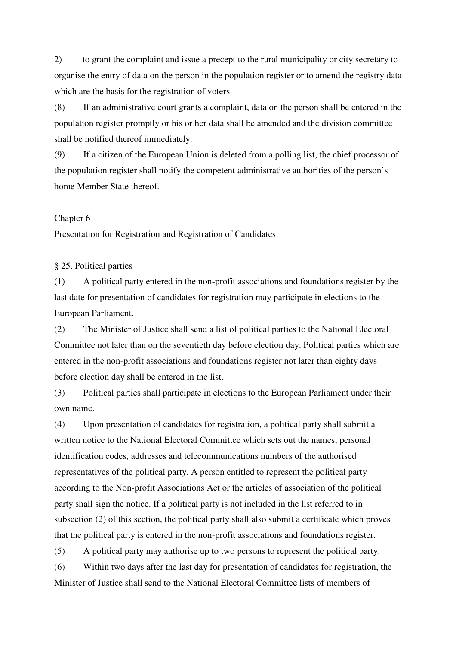2) to grant the complaint and issue a precept to the rural municipality or city secretary to organise the entry of data on the person in the population register or to amend the registry data which are the basis for the registration of voters.

(8) If an administrative court grants a complaint, data on the person shall be entered in the population register promptly or his or her data shall be amended and the division committee shall be notified thereof immediately.

(9) If a citizen of the European Union is deleted from a polling list, the chief processor of the population register shall notify the competent administrative authorities of the person's home Member State thereof.

#### Chapter 6

Presentation for Registration and Registration of Candidates

#### § 25. Political parties

(1) A political party entered in the non-profit associations and foundations register by the last date for presentation of candidates for registration may participate in elections to the European Parliament.

(2) The Minister of Justice shall send a list of political parties to the National Electoral Committee not later than on the seventieth day before election day. Political parties which are entered in the non-profit associations and foundations register not later than eighty days before election day shall be entered in the list.

(3) Political parties shall participate in elections to the European Parliament under their own name.

(4) Upon presentation of candidates for registration, a political party shall submit a written notice to the National Electoral Committee which sets out the names, personal identification codes, addresses and telecommunications numbers of the authorised representatives of the political party. A person entitled to represent the political party according to the Non-profit Associations Act or the articles of association of the political party shall sign the notice. If a political party is not included in the list referred to in subsection (2) of this section, the political party shall also submit a certificate which proves that the political party is entered in the non-profit associations and foundations register.

(5) A political party may authorise up to two persons to represent the political party. (6) Within two days after the last day for presentation of candidates for registration, the Minister of Justice shall send to the National Electoral Committee lists of members of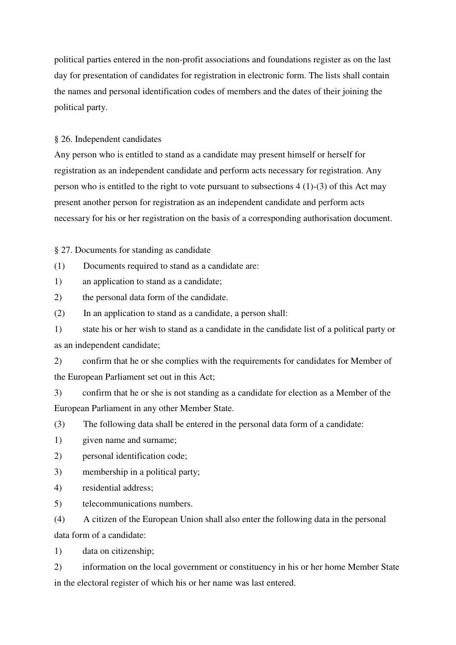political parties entered in the non-profit associations and foundations register as on the last day for presentation of candidates for registration in electronic form. The lists shall contain the names and personal identification codes of members and the dates of their joining the political party.

## § 26. Independent candidates

Any person who is entitled to stand as a candidate may present himself or herself for registration as an independent candidate and perform acts necessary for registration. Any person who is entitled to the right to vote pursuant to subsections  $4(1)-(3)$  of this Act may present another person for registration as an independent candidate and perform acts necessary for his or her registration on the basis of a corresponding authorisation document.

§ 27. Documents for standing as candidate

(1) Documents required to stand as a candidate are:

1) an application to stand as a candidate;

2) the personal data form of the candidate.

(2) In an application to stand as a candidate, a person shall:

1) state his or her wish to stand as a candidate in the candidate list of a political party or as an independent candidate;

2) confirm that he or she complies with the requirements for candidates for Member of the European Parliament set out in this Act;

3) confirm that he or she is not standing as a candidate for election as a Member of the European Parliament in any other Member State.

(3) The following data shall be entered in the personal data form of a candidate:

1) given name and surname;

2) personal identification code;

3) membership in a political party;

4) residential address;

5) telecommunications numbers.

(4) A citizen of the European Union shall also enter the following data in the personal data form of a candidate:

1) data on citizenship;

2) information on the local government or constituency in his or her home Member State in the electoral register of which his or her name was last entered.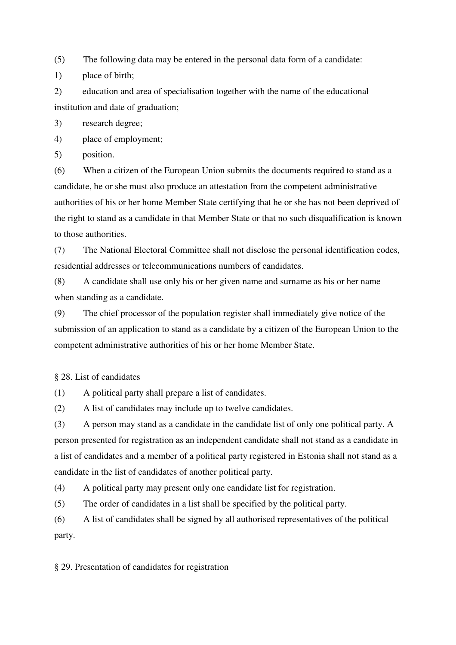(5) The following data may be entered in the personal data form of a candidate:

1) place of birth;

2) education and area of specialisation together with the name of the educational institution and date of graduation;

3) research degree;

4) place of employment;

5) position.

(6) When a citizen of the European Union submits the documents required to stand as a candidate, he or she must also produce an attestation from the competent administrative authorities of his or her home Member State certifying that he or she has not been deprived of the right to stand as a candidate in that Member State or that no such disqualification is known to those authorities.

(7) The National Electoral Committee shall not disclose the personal identification codes, residential addresses or telecommunications numbers of candidates.

(8) A candidate shall use only his or her given name and surname as his or her name when standing as a candidate.

(9) The chief processor of the population register shall immediately give notice of the submission of an application to stand as a candidate by a citizen of the European Union to the competent administrative authorities of his or her home Member State.

§ 28. List of candidates

(1) A political party shall prepare a list of candidates.

(2) A list of candidates may include up to twelve candidates.

(3) A person may stand as a candidate in the candidate list of only one political party. A person presented for registration as an independent candidate shall not stand as a candidate in a list of candidates and a member of a political party registered in Estonia shall not stand as a candidate in the list of candidates of another political party.

(4) A political party may present only one candidate list for registration.

(5) The order of candidates in a list shall be specified by the political party.

(6) A list of candidates shall be signed by all authorised representatives of the political party.

§ 29. Presentation of candidates for registration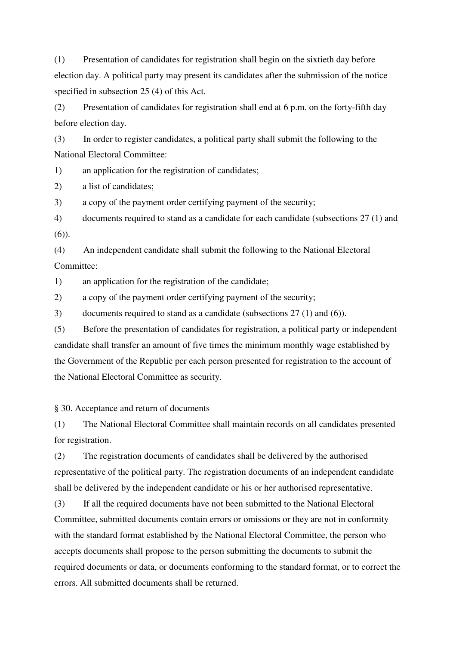(1) Presentation of candidates for registration shall begin on the sixtieth day before election day. A political party may present its candidates after the submission of the notice specified in subsection 25 (4) of this Act.

(2) Presentation of candidates for registration shall end at 6 p.m. on the forty-fifth day before election day.

(3) In order to register candidates, a political party shall submit the following to the National Electoral Committee:

1) an application for the registration of candidates;

2) a list of candidates;

3) a copy of the payment order certifying payment of the security;

4) documents required to stand as a candidate for each candidate (subsections 27 (1) and (6)).

(4) An independent candidate shall submit the following to the National Electoral Committee:

1) an application for the registration of the candidate;

2) a copy of the payment order certifying payment of the security;

3) documents required to stand as a candidate (subsections 27 (1) and (6)).

(5) Before the presentation of candidates for registration, a political party or independent candidate shall transfer an amount of five times the minimum monthly wage established by the Government of the Republic per each person presented for registration to the account of the National Electoral Committee as security.

§ 30. Acceptance and return of documents

(1) The National Electoral Committee shall maintain records on all candidates presented for registration.

(2) The registration documents of candidates shall be delivered by the authorised representative of the political party. The registration documents of an independent candidate shall be delivered by the independent candidate or his or her authorised representative.

(3) If all the required documents have not been submitted to the National Electoral Committee, submitted documents contain errors or omissions or they are not in conformity with the standard format established by the National Electoral Committee, the person who accepts documents shall propose to the person submitting the documents to submit the required documents or data, or documents conforming to the standard format, or to correct the errors. All submitted documents shall be returned.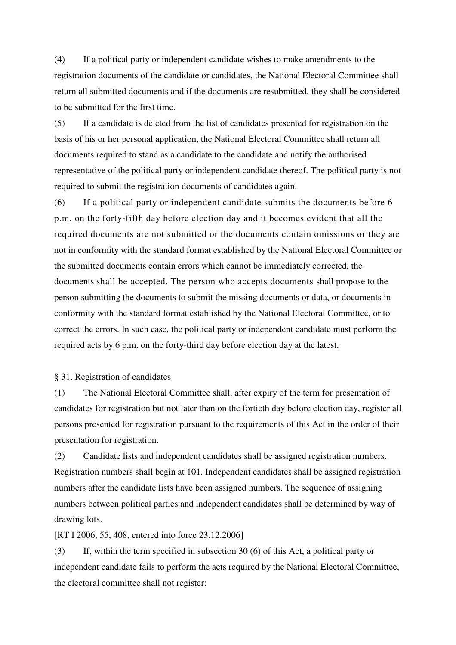(4) If a political party or independent candidate wishes to make amendments to the registration documents of the candidate or candidates, the National Electoral Committee shall return all submitted documents and if the documents are resubmitted, they shall be considered to be submitted for the first time.

(5) If a candidate is deleted from the list of candidates presented for registration on the basis of his or her personal application, the National Electoral Committee shall return all documents required to stand as a candidate to the candidate and notify the authorised representative of the political party or independent candidate thereof. The political party is not required to submit the registration documents of candidates again.

(6) If a political party or independent candidate submits the documents before 6 p.m. on the forty-fifth day before election day and it becomes evident that all the required documents are not submitted or the documents contain omissions or they are not in conformity with the standard format established by the National Electoral Committee or the submitted documents contain errors which cannot be immediately corrected, the documents shall be accepted. The person who accepts documents shall propose to the person submitting the documents to submit the missing documents or data, or documents in conformity with the standard format established by the National Electoral Committee, or to correct the errors. In such case, the political party or independent candidate must perform the required acts by 6 p.m. on the forty-third day before election day at the latest.

### § 31. Registration of candidates

(1) The National Electoral Committee shall, after expiry of the term for presentation of candidates for registration but not later than on the fortieth day before election day, register all persons presented for registration pursuant to the requirements of this Act in the order of their presentation for registration.

(2) Candidate lists and independent candidates shall be assigned registration numbers. Registration numbers shall begin at 101. Independent candidates shall be assigned registration numbers after the candidate lists have been assigned numbers. The sequence of assigning numbers between political parties and independent candidates shall be determined by way of drawing lots.

[RT I 2006, 55, 408, entered into force 23.12.2006]

(3) If, within the term specified in subsection 30 (6) of this Act, a political party or independent candidate fails to perform the acts required by the National Electoral Committee, the electoral committee shall not register: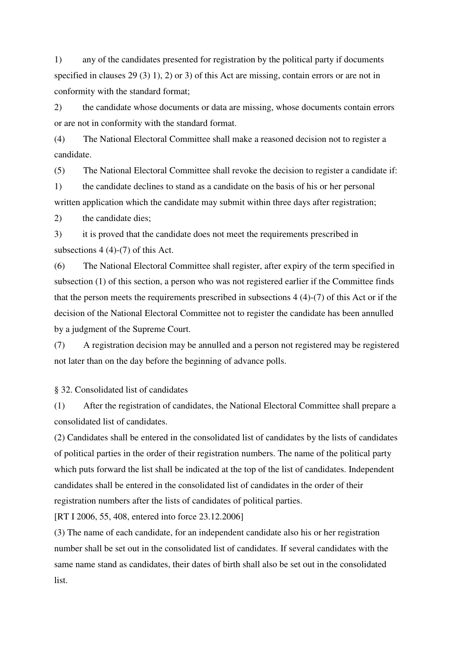1) any of the candidates presented for registration by the political party if documents specified in clauses 29 (3) 1), 2) or 3) of this Act are missing, contain errors or are not in conformity with the standard format;

2) the candidate whose documents or data are missing, whose documents contain errors or are not in conformity with the standard format.

(4) The National Electoral Committee shall make a reasoned decision not to register a candidate.

(5) The National Electoral Committee shall revoke the decision to register a candidate if:

1) the candidate declines to stand as a candidate on the basis of his or her personal written application which the candidate may submit within three days after registration;

2) the candidate dies;

3) it is proved that the candidate does not meet the requirements prescribed in subsections 4 (4)-(7) of this Act.

(6) The National Electoral Committee shall register, after expiry of the term specified in subsection (1) of this section, a person who was not registered earlier if the Committee finds that the person meets the requirements prescribed in subsections 4 (4)-(7) of this Act or if the decision of the National Electoral Committee not to register the candidate has been annulled by a judgment of the Supreme Court.

(7) A registration decision may be annulled and a person not registered may be registered not later than on the day before the beginning of advance polls.

§ 32. Consolidated list of candidates

(1) After the registration of candidates, the National Electoral Committee shall prepare a consolidated list of candidates.

(2) Candidates shall be entered in the consolidated list of candidates by the lists of candidates of political parties in the order of their registration numbers. The name of the political party which puts forward the list shall be indicated at the top of the list of candidates. Independent candidates shall be entered in the consolidated list of candidates in the order of their registration numbers after the lists of candidates of political parties.

[RT I 2006, 55, 408, entered into force 23.12.2006]

(3) The name of each candidate, for an independent candidate also his or her registration number shall be set out in the consolidated list of candidates. If several candidates with the same name stand as candidates, their dates of birth shall also be set out in the consolidated list.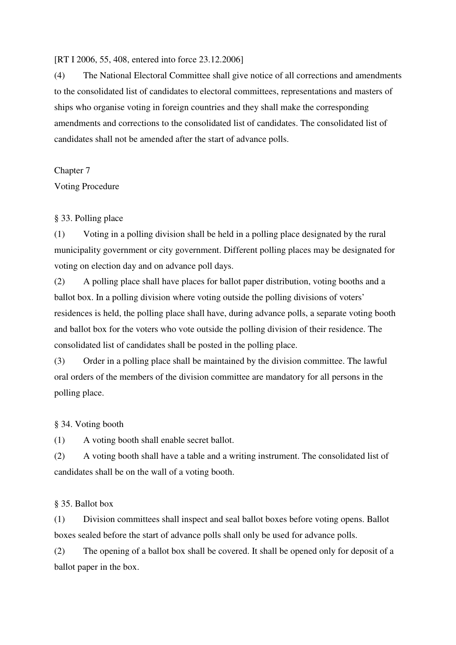### [RT I 2006, 55, 408, entered into force 23.12.2006]

(4) The National Electoral Committee shall give notice of all corrections and amendments to the consolidated list of candidates to electoral committees, representations and masters of ships who organise voting in foreign countries and they shall make the corresponding amendments and corrections to the consolidated list of candidates. The consolidated list of candidates shall not be amended after the start of advance polls.

Chapter 7

Voting Procedure

## § 33. Polling place

(1) Voting in a polling division shall be held in a polling place designated by the rural municipality government or city government. Different polling places may be designated for voting on election day and on advance poll days.

(2) A polling place shall have places for ballot paper distribution, voting booths and a ballot box. In a polling division where voting outside the polling divisions of voters' residences is held, the polling place shall have, during advance polls, a separate voting booth and ballot box for the voters who vote outside the polling division of their residence. The consolidated list of candidates shall be posted in the polling place.

(3) Order in a polling place shall be maintained by the division committee. The lawful oral orders of the members of the division committee are mandatory for all persons in the polling place.

## § 34. Voting booth

(1) A voting booth shall enable secret ballot.

(2) A voting booth shall have a table and a writing instrument. The consolidated list of candidates shall be on the wall of a voting booth.

## § 35. Ballot box

(1) Division committees shall inspect and seal ballot boxes before voting opens. Ballot boxes sealed before the start of advance polls shall only be used for advance polls.

(2) The opening of a ballot box shall be covered. It shall be opened only for deposit of a ballot paper in the box.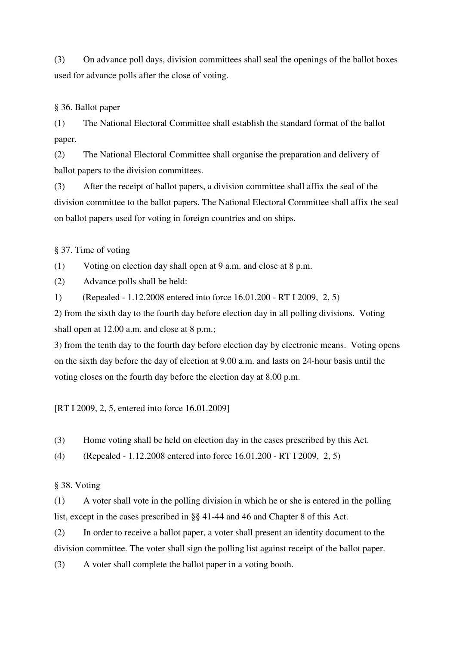(3) On advance poll days, division committees shall seal the openings of the ballot boxes used for advance polls after the close of voting.

## § 36. Ballot paper

(1) The National Electoral Committee shall establish the standard format of the ballot paper.

(2) The National Electoral Committee shall organise the preparation and delivery of ballot papers to the division committees.

(3) After the receipt of ballot papers, a division committee shall affix the seal of the division committee to the ballot papers. The National Electoral Committee shall affix the seal on ballot papers used for voting in foreign countries and on ships.

§ 37. Time of voting

(1) Voting on election day shall open at 9 a.m. and close at 8 p.m.

(2) Advance polls shall be held:

1) (Repealed - 1.12.2008 entered into force 16.01.200 - RT I 2009, 2, 5)

2) from the sixth day to the fourth day before election day in all polling divisions. Voting shall open at 12.00 a.m. and close at 8 p.m.;

3) from the tenth day to the fourth day before election day by electronic means. Voting opens on the sixth day before the day of election at 9.00 a.m. and lasts on 24-hour basis until the voting closes on the fourth day before the election day at 8.00 p.m.

[RT I 2009, 2, 5, entered into force 16.01.2009]

(3) Home voting shall be held on election day in the cases prescribed by this Act.

(4) (Repealed - 1.12.2008 entered into force 16.01.200 - RT I 2009, 2, 5)

## § 38. Voting

(1) A voter shall vote in the polling division in which he or she is entered in the polling list, except in the cases prescribed in §§ 41-44 and 46 and Chapter 8 of this Act.

(2) In order to receive a ballot paper, a voter shall present an identity document to the division committee. The voter shall sign the polling list against receipt of the ballot paper.

(3) A voter shall complete the ballot paper in a voting booth.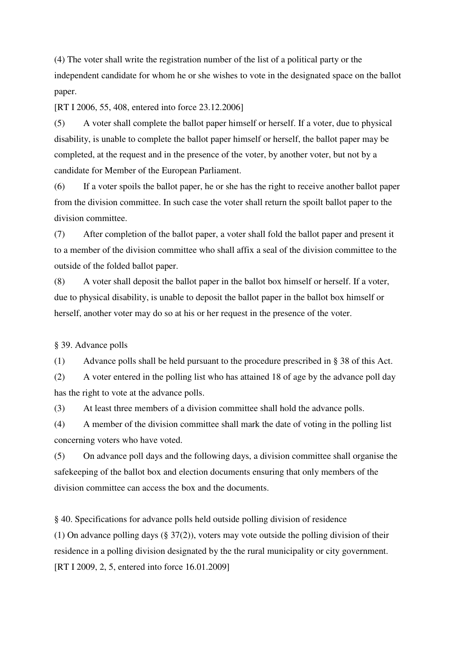(4) The voter shall write the registration number of the list of a political party or the independent candidate for whom he or she wishes to vote in the designated space on the ballot paper.

[RT I 2006, 55, 408, entered into force 23.12.2006]

(5) A voter shall complete the ballot paper himself or herself. If a voter, due to physical disability, is unable to complete the ballot paper himself or herself, the ballot paper may be completed, at the request and in the presence of the voter, by another voter, but not by a candidate for Member of the European Parliament.

(6) If a voter spoils the ballot paper, he or she has the right to receive another ballot paper from the division committee. In such case the voter shall return the spoilt ballot paper to the division committee.

(7) After completion of the ballot paper, a voter shall fold the ballot paper and present it to a member of the division committee who shall affix a seal of the division committee to the outside of the folded ballot paper.

(8) A voter shall deposit the ballot paper in the ballot box himself or herself. If a voter, due to physical disability, is unable to deposit the ballot paper in the ballot box himself or herself, another voter may do so at his or her request in the presence of the voter.

§ 39. Advance polls

(1) Advance polls shall be held pursuant to the procedure prescribed in § 38 of this Act.

(2) A voter entered in the polling list who has attained 18 of age by the advance poll day has the right to vote at the advance polls.

(3) At least three members of a division committee shall hold the advance polls.

(4) A member of the division committee shall mark the date of voting in the polling list concerning voters who have voted.

(5) On advance poll days and the following days, a division committee shall organise the safekeeping of the ballot box and election documents ensuring that only members of the division committee can access the box and the documents.

§ 40. Specifications for advance polls held outside polling division of residence (1) On advance polling days (§ 37(2)), voters may vote outside the polling division of their residence in a polling division designated by the the rural municipality or city government. [RT I 2009, 2, 5, entered into force 16.01.2009]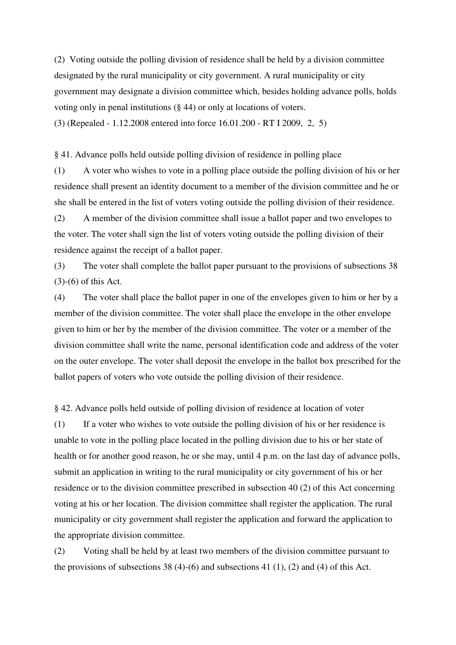(2) Voting outside the polling division of residence shall be held by a division committee designated by the rural municipality or city government. A rural municipality or city government may designate a division committee which, besides holding advance polls, holds voting only in penal institutions (§ 44) or only at locations of voters. (3) (Repealed - 1.12.2008 entered into force 16.01.200 - RT I 2009, 2, 5)

§ 41. Advance polls held outside polling division of residence in polling place

(1) A voter who wishes to vote in a polling place outside the polling division of his or her residence shall present an identity document to a member of the division committee and he or she shall be entered in the list of voters voting outside the polling division of their residence.

(2) A member of the division committee shall issue a ballot paper and two envelopes to the voter. The voter shall sign the list of voters voting outside the polling division of their residence against the receipt of a ballot paper.

(3) The voter shall complete the ballot paper pursuant to the provisions of subsections 38 (3)-(6) of this Act.

(4) The voter shall place the ballot paper in one of the envelopes given to him or her by a member of the division committee. The voter shall place the envelope in the other envelope given to him or her by the member of the division committee. The voter or a member of the division committee shall write the name, personal identification code and address of the voter on the outer envelope. The voter shall deposit the envelope in the ballot box prescribed for the ballot papers of voters who vote outside the polling division of their residence.

§ 42. Advance polls held outside of polling division of residence at location of voter

(1) If a voter who wishes to vote outside the polling division of his or her residence is unable to vote in the polling place located in the polling division due to his or her state of health or for another good reason, he or she may, until 4 p.m. on the last day of advance polls, submit an application in writing to the rural municipality or city government of his or her residence or to the division committee prescribed in subsection 40 (2) of this Act concerning voting at his or her location. The division committee shall register the application. The rural municipality or city government shall register the application and forward the application to the appropriate division committee.

(2) Voting shall be held by at least two members of the division committee pursuant to the provisions of subsections  $38(4)-(6)$  and subsections  $41(1)$ ,  $(2)$  and  $(4)$  of this Act.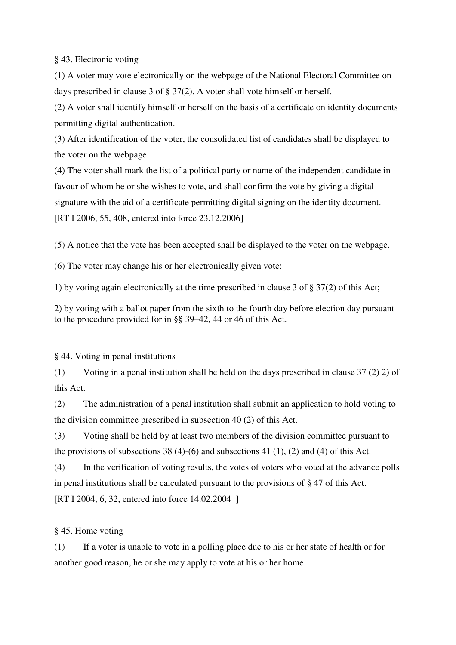§ 43. Electronic voting

(1) A voter may vote electronically on the webpage of the National Electoral Committee on days prescribed in clause 3 of § 37(2). A voter shall vote himself or herself.

(2) A voter shall identify himself or herself on the basis of a certificate on identity documents permitting digital authentication.

(3) After identification of the voter, the consolidated list of candidates shall be displayed to the voter on the webpage.

(4) The voter shall mark the list of a political party or name of the independent candidate in favour of whom he or she wishes to vote, and shall confirm the vote by giving a digital signature with the aid of a certificate permitting digital signing on the identity document. [RT I 2006, 55, 408, entered into force 23.12.2006]

(5) A notice that the vote has been accepted shall be displayed to the voter on the webpage.

(6) The voter may change his or her electronically given vote:

1) by voting again electronically at the time prescribed in clause 3 of § 37(2) of this Act;

2) by voting with a ballot paper from the sixth to the fourth day before election day pursuant to the procedure provided for in §§ 39–42, 44 or 46 of this Act.

§ 44. Voting in penal institutions

(1) Voting in a penal institution shall be held on the days prescribed in clause 37 (2) 2) of this Act.

(2) The administration of a penal institution shall submit an application to hold voting to the division committee prescribed in subsection 40 (2) of this Act.

(3) Voting shall be held by at least two members of the division committee pursuant to the provisions of subsections 38 (4)-(6) and subsections 41 (1), (2) and (4) of this Act.

(4) In the verification of voting results, the votes of voters who voted at the advance polls in penal institutions shall be calculated pursuant to the provisions of § 47 of this Act. [RT I 2004, 6, 32, entered into force 14.02.2004 ]

§ 45. Home voting

(1) If a voter is unable to vote in a polling place due to his or her state of health or for another good reason, he or she may apply to vote at his or her home.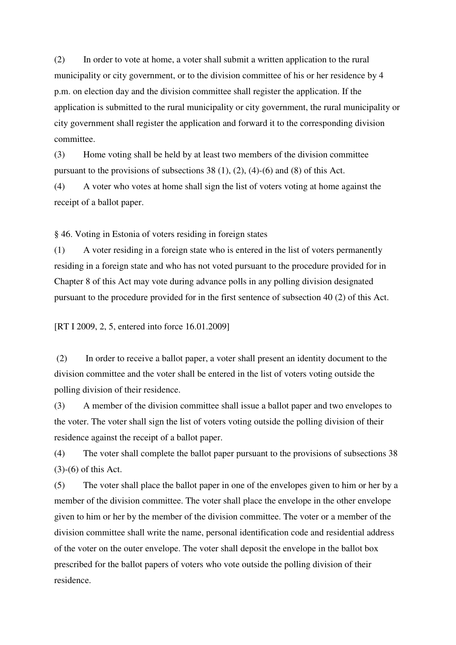(2) In order to vote at home, a voter shall submit a written application to the rural municipality or city government, or to the division committee of his or her residence by 4 p.m. on election day and the division committee shall register the application. If the application is submitted to the rural municipality or city government, the rural municipality or city government shall register the application and forward it to the corresponding division committee.

(3) Home voting shall be held by at least two members of the division committee pursuant to the provisions of subsections 38 (1), (2), (4)-(6) and (8) of this Act.

(4) A voter who votes at home shall sign the list of voters voting at home against the receipt of a ballot paper.

§ 46. Voting in Estonia of voters residing in foreign states

(1) A voter residing in a foreign state who is entered in the list of voters permanently residing in a foreign state and who has not voted pursuant to the procedure provided for in Chapter 8 of this Act may vote during advance polls in any polling division designated pursuant to the procedure provided for in the first sentence of subsection 40 (2) of this Act.

[RT I 2009, 2, 5, entered into force 16.01.2009]

(2) In order to receive a ballot paper, a voter shall present an identity document to the division committee and the voter shall be entered in the list of voters voting outside the polling division of their residence.

(3) A member of the division committee shall issue a ballot paper and two envelopes to the voter. The voter shall sign the list of voters voting outside the polling division of their residence against the receipt of a ballot paper.

(4) The voter shall complete the ballot paper pursuant to the provisions of subsections 38 (3)-(6) of this Act.

(5) The voter shall place the ballot paper in one of the envelopes given to him or her by a member of the division committee. The voter shall place the envelope in the other envelope given to him or her by the member of the division committee. The voter or a member of the division committee shall write the name, personal identification code and residential address of the voter on the outer envelope. The voter shall deposit the envelope in the ballot box prescribed for the ballot papers of voters who vote outside the polling division of their residence.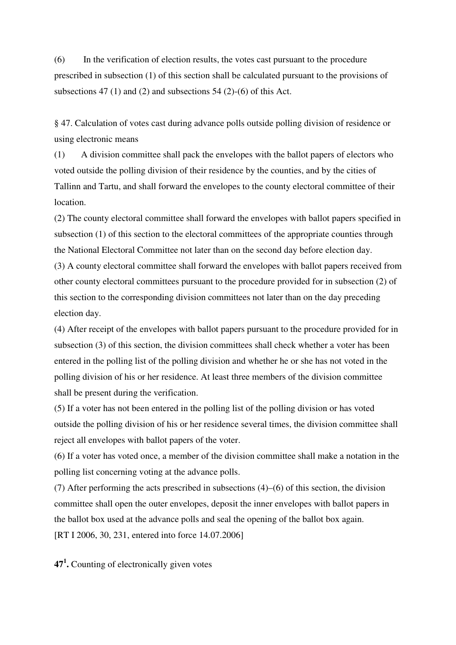(6) In the verification of election results, the votes cast pursuant to the procedure prescribed in subsection (1) of this section shall be calculated pursuant to the provisions of subsections 47 (1) and (2) and subsections 54 (2)-(6) of this Act.

§ 47. Calculation of votes cast during advance polls outside polling division of residence or using electronic means

(1) A division committee shall pack the envelopes with the ballot papers of electors who voted outside the polling division of their residence by the counties, and by the cities of Tallinn and Tartu, and shall forward the envelopes to the county electoral committee of their location.

(2) The county electoral committee shall forward the envelopes with ballot papers specified in subsection (1) of this section to the electoral committees of the appropriate counties through the National Electoral Committee not later than on the second day before election day.

(3) A county electoral committee shall forward the envelopes with ballot papers received from other county electoral committees pursuant to the procedure provided for in subsection (2) of this section to the corresponding division committees not later than on the day preceding election day.

(4) After receipt of the envelopes with ballot papers pursuant to the procedure provided for in subsection (3) of this section, the division committees shall check whether a voter has been entered in the polling list of the polling division and whether he or she has not voted in the polling division of his or her residence. At least three members of the division committee shall be present during the verification.

(5) If a voter has not been entered in the polling list of the polling division or has voted outside the polling division of his or her residence several times, the division committee shall reject all envelopes with ballot papers of the voter.

(6) If a voter has voted once, a member of the division committee shall make a notation in the polling list concerning voting at the advance polls.

(7) After performing the acts prescribed in subsections (4)–(6) of this section, the division committee shall open the outer envelopes, deposit the inner envelopes with ballot papers in the ballot box used at the advance polls and seal the opening of the ballot box again. [RT I 2006, 30, 231, entered into force 14.07.2006]

**47 1 .** Counting of electronically given votes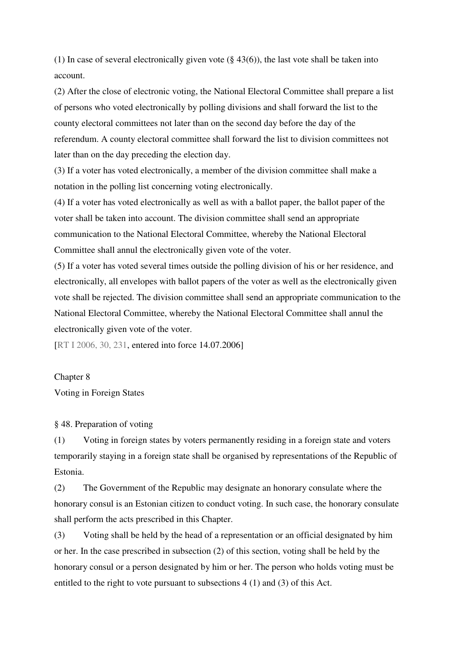(1) In case of several electronically given vote  $(\S 43(6))$ , the last vote shall be taken into account.

(2) After the close of electronic voting, the National Electoral Committee shall prepare a list of persons who voted electronically by polling divisions and shall forward the list to the county electoral committees not later than on the second day before the day of the referendum. A county electoral committee shall forward the list to division committees not later than on the day preceding the election day.

(3) If a voter has voted electronically, a member of the division committee shall make a notation in the polling list concerning voting electronically.

(4) If a voter has voted electronically as well as with a ballot paper, the ballot paper of the voter shall be taken into account. The division committee shall send an appropriate communication to the National Electoral Committee, whereby the National Electoral Committee shall annul the electronically given vote of the voter.

(5) If a voter has voted several times outside the polling division of his or her residence, and electronically, all envelopes with ballot papers of the voter as well as the electronically given vote shall be rejected. The division committee shall send an appropriate communication to the National Electoral Committee, whereby the National Electoral Committee shall annul the electronically given vote of the voter.

[RT I 2006, 30, 231, entered into force 14.07.2006]

Chapter 8

Voting in Foreign States

§ 48. Preparation of voting

(1) Voting in foreign states by voters permanently residing in a foreign state and voters temporarily staying in a foreign state shall be organised by representations of the Republic of Estonia.

(2) The Government of the Republic may designate an honorary consulate where the honorary consul is an Estonian citizen to conduct voting. In such case, the honorary consulate shall perform the acts prescribed in this Chapter.

(3) Voting shall be held by the head of a representation or an official designated by him or her. In the case prescribed in subsection (2) of this section, voting shall be held by the honorary consul or a person designated by him or her. The person who holds voting must be entitled to the right to vote pursuant to subsections 4 (1) and (3) of this Act.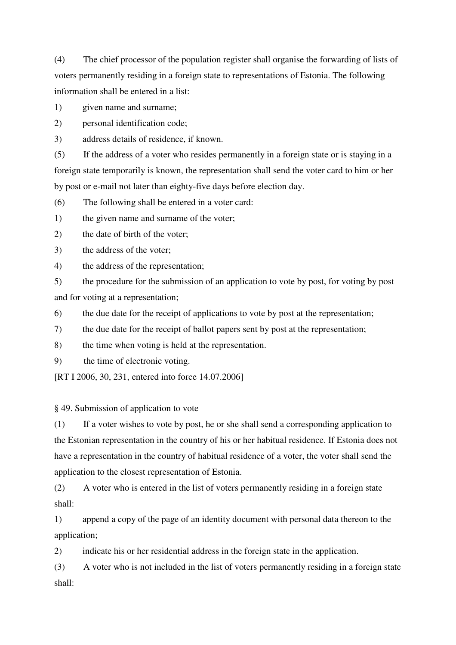(4) The chief processor of the population register shall organise the forwarding of lists of voters permanently residing in a foreign state to representations of Estonia. The following information shall be entered in a list:

1) given name and surname;

2) personal identification code;

3) address details of residence, if known.

(5) If the address of a voter who resides permanently in a foreign state or is staying in a foreign state temporarily is known, the representation shall send the voter card to him or her by post or e-mail not later than eighty-five days before election day.

(6) The following shall be entered in a voter card:

1) the given name and surname of the voter;

2) the date of birth of the voter;

3) the address of the voter;

4) the address of the representation;

5) the procedure for the submission of an application to vote by post, for voting by post and for voting at a representation;

6) the due date for the receipt of applications to vote by post at the representation;

7) the due date for the receipt of ballot papers sent by post at the representation;

8) the time when voting is held at the representation.

9) the time of electronic voting.

[RT I 2006, 30, 231, entered into force 14.07.2006]

§ 49. Submission of application to vote

(1) If a voter wishes to vote by post, he or she shall send a corresponding application to the Estonian representation in the country of his or her habitual residence. If Estonia does not have a representation in the country of habitual residence of a voter, the voter shall send the application to the closest representation of Estonia.

(2) A voter who is entered in the list of voters permanently residing in a foreign state shall:

1) append a copy of the page of an identity document with personal data thereon to the application;

2) indicate his or her residential address in the foreign state in the application.

(3) A voter who is not included in the list of voters permanently residing in a foreign state shall: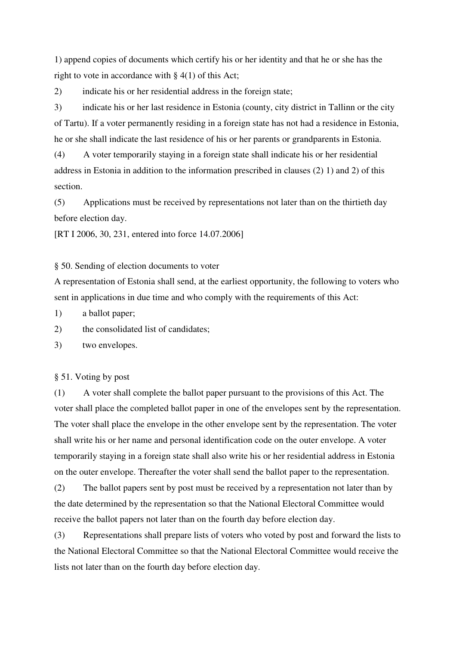1) append copies of documents which certify his or her identity and that he or she has the right to vote in accordance with  $\S$  4(1) of this Act;

2) indicate his or her residential address in the foreign state;

3) indicate his or her last residence in Estonia (county, city district in Tallinn or the city of Tartu). If a voter permanently residing in a foreign state has not had a residence in Estonia, he or she shall indicate the last residence of his or her parents or grandparents in Estonia.

(4) A voter temporarily staying in a foreign state shall indicate his or her residential address in Estonia in addition to the information prescribed in clauses (2) 1) and 2) of this section.

(5) Applications must be received by representations not later than on the thirtieth day before election day.

[RT I 2006, 30, 231, entered into force 14.07.2006]

§ 50. Sending of election documents to voter

A representation of Estonia shall send, at the earliest opportunity, the following to voters who sent in applications in due time and who comply with the requirements of this Act:

1) a ballot paper;

2) the consolidated list of candidates;

3) two envelopes.

§ 51. Voting by post

(1) A voter shall complete the ballot paper pursuant to the provisions of this Act. The voter shall place the completed ballot paper in one of the envelopes sent by the representation. The voter shall place the envelope in the other envelope sent by the representation. The voter shall write his or her name and personal identification code on the outer envelope. A voter temporarily staying in a foreign state shall also write his or her residential address in Estonia on the outer envelope. Thereafter the voter shall send the ballot paper to the representation.

(2) The ballot papers sent by post must be received by a representation not later than by the date determined by the representation so that the National Electoral Committee would receive the ballot papers not later than on the fourth day before election day.

(3) Representations shall prepare lists of voters who voted by post and forward the lists to the National Electoral Committee so that the National Electoral Committee would receive the lists not later than on the fourth day before election day.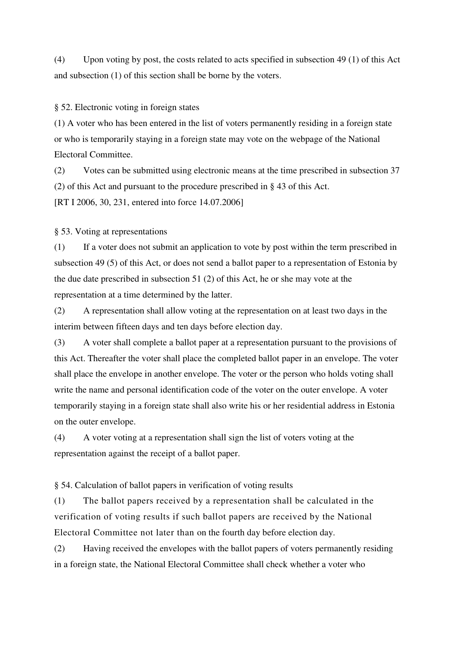(4) Upon voting by post, the costs related to acts specified in subsection 49 (1) of this Act and subsection (1) of this section shall be borne by the voters.

§ 52. Electronic voting in foreign states

(1) A voter who has been entered in the list of voters permanently residing in a foreign state or who is temporarily staying in a foreign state may vote on the webpage of the National Electoral Committee.

(2) Votes can be submitted using electronic means at the time prescribed in subsection 37 (2) of this Act and pursuant to the procedure prescribed in § 43 of this Act. [RT I 2006, 30, 231, entered into force 14.07.2006]

§ 53. Voting at representations

(1) If a voter does not submit an application to vote by post within the term prescribed in subsection 49 (5) of this Act, or does not send a ballot paper to a representation of Estonia by the due date prescribed in subsection 51 (2) of this Act, he or she may vote at the representation at a time determined by the latter.

(2) A representation shall allow voting at the representation on at least two days in the interim between fifteen days and ten days before election day.

(3) A voter shall complete a ballot paper at a representation pursuant to the provisions of this Act. Thereafter the voter shall place the completed ballot paper in an envelope. The voter shall place the envelope in another envelope. The voter or the person who holds voting shall write the name and personal identification code of the voter on the outer envelope. A voter temporarily staying in a foreign state shall also write his or her residential address in Estonia on the outer envelope.

(4) A voter voting at a representation shall sign the list of voters voting at the representation against the receipt of a ballot paper.

§ 54. Calculation of ballot papers in verification of voting results

(1) The ballot papers received by a representation shall be calculated in the verification of voting results if such ballot papers are received by the National Electoral Committee not later than on the fourth day before election day.

(2) Having received the envelopes with the ballot papers of voters permanently residing in a foreign state, the National Electoral Committee shall check whether a voter who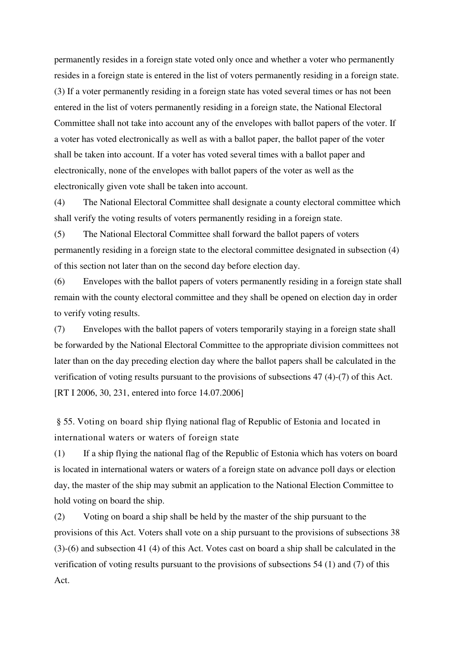permanently resides in a foreign state voted only once and whether a voter who permanently resides in a foreign state is entered in the list of voters permanently residing in a foreign state. (3) If a voter permanently residing in a foreign state has voted several times or has not been entered in the list of voters permanently residing in a foreign state, the National Electoral Committee shall not take into account any of the envelopes with ballot papers of the voter. If a voter has voted electronically as well as with a ballot paper, the ballot paper of the voter shall be taken into account. If a voter has voted several times with a ballot paper and electronically, none of the envelopes with ballot papers of the voter as well as the electronically given vote shall be taken into account.

(4) The National Electoral Committee shall designate a county electoral committee which shall verify the voting results of voters permanently residing in a foreign state.

(5) The National Electoral Committee shall forward the ballot papers of voters permanently residing in a foreign state to the electoral committee designated in subsection (4) of this section not later than on the second day before election day.

(6) Envelopes with the ballot papers of voters permanently residing in a foreign state shall remain with the county electoral committee and they shall be opened on election day in order to verify voting results.

(7) Envelopes with the ballot papers of voters temporarily staying in a foreign state shall be forwarded by the National Electoral Committee to the appropriate division committees not later than on the day preceding election day where the ballot papers shall be calculated in the verification of voting results pursuant to the provisions of subsections 47 (4)-(7) of this Act. [RT I 2006, 30, 231, entered into force 14.07.2006]

§ 55. Voting on board ship flying national flag of Republic of Estonia and located in international waters or waters of foreign state

(1) If a ship flying the national flag of the Republic of Estonia which has voters on board is located in international waters or waters of a foreign state on advance poll days or election day, the master of the ship may submit an application to the National Election Committee to hold voting on board the ship.

(2) Voting on board a ship shall be held by the master of the ship pursuant to the provisions of this Act. Voters shall vote on a ship pursuant to the provisions of subsections 38 (3)-(6) and subsection 41 (4) of this Act. Votes cast on board a ship shall be calculated in the verification of voting results pursuant to the provisions of subsections 54 (1) and (7) of this Act.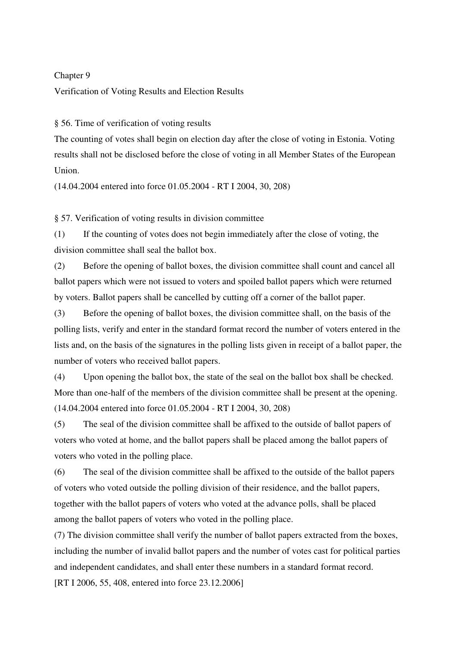### Chapter 9

Verification of Voting Results and Election Results

§ 56. Time of verification of voting results

The counting of votes shall begin on election day after the close of voting in Estonia. Voting results shall not be disclosed before the close of voting in all Member States of the European Union.

(14.04.2004 entered into force 01.05.2004 - RT I 2004, 30, 208)

§ 57. Verification of voting results in division committee

(1) If the counting of votes does not begin immediately after the close of voting, the division committee shall seal the ballot box.

(2) Before the opening of ballot boxes, the division committee shall count and cancel all ballot papers which were not issued to voters and spoiled ballot papers which were returned by voters. Ballot papers shall be cancelled by cutting off a corner of the ballot paper.

(3) Before the opening of ballot boxes, the division committee shall, on the basis of the polling lists, verify and enter in the standard format record the number of voters entered in the lists and, on the basis of the signatures in the polling lists given in receipt of a ballot paper, the number of voters who received ballot papers.

(4) Upon opening the ballot box, the state of the seal on the ballot box shall be checked. More than one-half of the members of the division committee shall be present at the opening. (14.04.2004 entered into force 01.05.2004 - RT I 2004, 30, 208)

(5) The seal of the division committee shall be affixed to the outside of ballot papers of voters who voted at home, and the ballot papers shall be placed among the ballot papers of voters who voted in the polling place.

(6) The seal of the division committee shall be affixed to the outside of the ballot papers of voters who voted outside the polling division of their residence, and the ballot papers, together with the ballot papers of voters who voted at the advance polls, shall be placed among the ballot papers of voters who voted in the polling place.

(7) The division committee shall verify the number of ballot papers extracted from the boxes, including the number of invalid ballot papers and the number of votes cast for political parties and independent candidates, and shall enter these numbers in a standard format record.

[RT I 2006, 55, 408, entered into force 23.12.2006]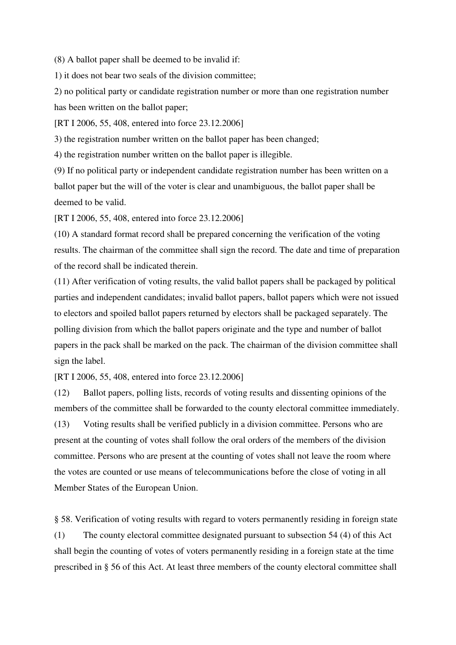(8) A ballot paper shall be deemed to be invalid if:

1) it does not bear two seals of the division committee;

2) no political party or candidate registration number or more than one registration number has been written on the ballot paper;

[RT I 2006, 55, 408, entered into force 23.12.2006]

3) the registration number written on the ballot paper has been changed;

4) the registration number written on the ballot paper is illegible.

(9) If no political party or independent candidate registration number has been written on a ballot paper but the will of the voter is clear and unambiguous, the ballot paper shall be deemed to be valid.

[RT I 2006, 55, 408, entered into force 23.12.2006]

(10) A standard format record shall be prepared concerning the verification of the voting results. The chairman of the committee shall sign the record. The date and time of preparation of the record shall be indicated therein.

(11) After verification of voting results, the valid ballot papers shall be packaged by political parties and independent candidates; invalid ballot papers, ballot papers which were not issued to electors and spoiled ballot papers returned by electors shall be packaged separately. The polling division from which the ballot papers originate and the type and number of ballot papers in the pack shall be marked on the pack. The chairman of the division committee shall sign the label.

[RT I 2006, 55, 408, entered into force 23.12.2006]

(12) Ballot papers, polling lists, records of voting results and dissenting opinions of the members of the committee shall be forwarded to the county electoral committee immediately.

(13) Voting results shall be verified publicly in a division committee. Persons who are present at the counting of votes shall follow the oral orders of the members of the division committee. Persons who are present at the counting of votes shall not leave the room where the votes are counted or use means of telecommunications before the close of voting in all Member States of the European Union.

§ 58. Verification of voting results with regard to voters permanently residing in foreign state (1) The county electoral committee designated pursuant to subsection 54 (4) of this Act shall begin the counting of votes of voters permanently residing in a foreign state at the time prescribed in § 56 of this Act. At least three members of the county electoral committee shall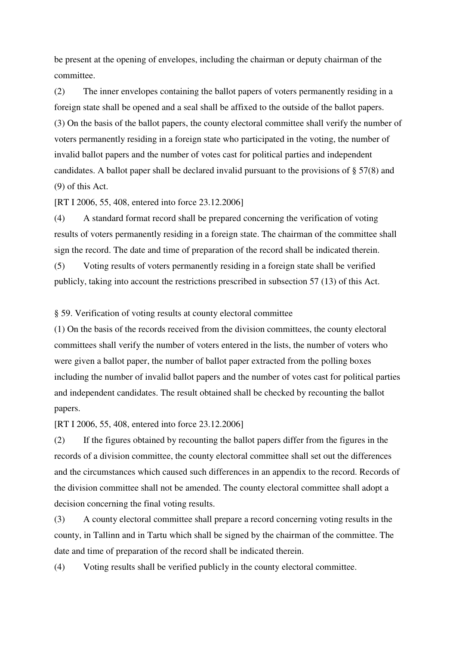be present at the opening of envelopes, including the chairman or deputy chairman of the committee.

(2) The inner envelopes containing the ballot papers of voters permanently residing in a foreign state shall be opened and a seal shall be affixed to the outside of the ballot papers. (3) On the basis of the ballot papers, the county electoral committee shall verify the number of voters permanently residing in a foreign state who participated in the voting, the number of invalid ballot papers and the number of votes cast for political parties and independent candidates. A ballot paper shall be declared invalid pursuant to the provisions of § 57(8) and (9) of this Act.

[RT I 2006, 55, 408, entered into force 23.12.2006]

(4) A standard format record shall be prepared concerning the verification of voting results of voters permanently residing in a foreign state. The chairman of the committee shall sign the record. The date and time of preparation of the record shall be indicated therein.

(5) Voting results of voters permanently residing in a foreign state shall be verified publicly, taking into account the restrictions prescribed in subsection 57 (13) of this Act.

§ 59. Verification of voting results at county electoral committee

(1) On the basis of the records received from the division committees, the county electoral committees shall verify the number of voters entered in the lists, the number of voters who were given a ballot paper, the number of ballot paper extracted from the polling boxes including the number of invalid ballot papers and the number of votes cast for political parties and independent candidates. The result obtained shall be checked by recounting the ballot papers.

[RT I 2006, 55, 408, entered into force 23.12.2006]

(2) If the figures obtained by recounting the ballot papers differ from the figures in the records of a division committee, the county electoral committee shall set out the differences and the circumstances which caused such differences in an appendix to the record. Records of the division committee shall not be amended. The county electoral committee shall adopt a decision concerning the final voting results.

(3) A county electoral committee shall prepare a record concerning voting results in the county, in Tallinn and in Tartu which shall be signed by the chairman of the committee. The date and time of preparation of the record shall be indicated therein.

(4) Voting results shall be verified publicly in the county electoral committee.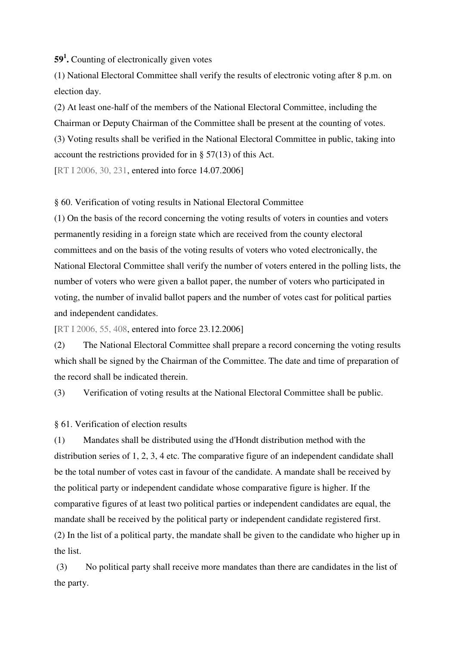**59 1 .** Counting of electronically given votes

(1) National Electoral Committee shall verify the results of electronic voting after 8 p.m. on election day.

(2) At least one-half of the members of the National Electoral Committee, including the Chairman or Deputy Chairman of the Committee shall be present at the counting of votes. (3) Voting results shall be verified in the National Electoral Committee in public, taking into account the restrictions provided for in  $\S$  57(13) of this Act.

[RT I 2006, 30, 231, entered into force 14.07.2006]

### § 60. Verification of voting results in National Electoral Committee

(1) On the basis of the record concerning the voting results of voters in counties and voters permanently residing in a foreign state which are received from the county electoral committees and on the basis of the voting results of voters who voted electronically, the National Electoral Committee shall verify the number of voters entered in the polling lists, the number of voters who were given a ballot paper, the number of voters who participated in voting, the number of invalid ballot papers and the number of votes cast for political parties and independent candidates.

[RT I 2006, 55, 408, entered into force 23.12.2006]

(2) The National Electoral Committee shall prepare a record concerning the voting results which shall be signed by the Chairman of the Committee. The date and time of preparation of the record shall be indicated therein.

(3) Verification of voting results at the National Electoral Committee shall be public.

§ 61. Verification of election results

(1) Mandates shall be distributed using the d'Hondt distribution method with the distribution series of 1, 2, 3, 4 etc. The comparative figure of an independent candidate shall be the total number of votes cast in favour of the candidate. A mandate shall be received by the political party or independent candidate whose comparative figure is higher. If the comparative figures of at least two political parties or independent candidates are equal, the mandate shall be received by the political party or independent candidate registered first. (2) In the list of a political party, the mandate shall be given to the candidate who higher up in the list.

(3) No political party shall receive more mandates than there are candidates in the list of the party.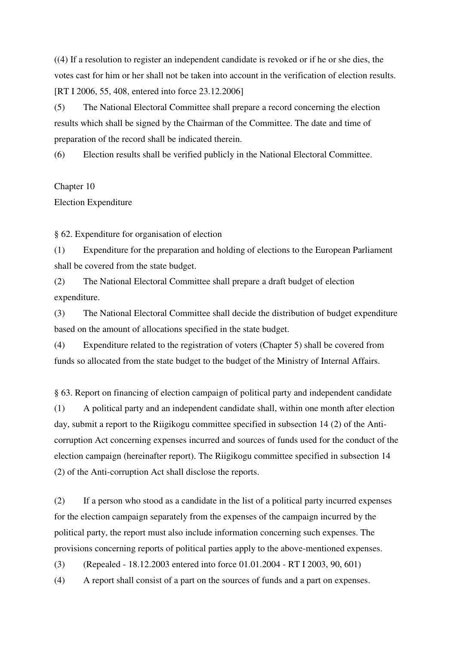((4) If a resolution to register an independent candidate is revoked or if he or she dies, the votes cast for him or her shall not be taken into account in the verification of election results. [RT I 2006, 55, 408, entered into force 23.12.2006]

(5) The National Electoral Committee shall prepare a record concerning the election results which shall be signed by the Chairman of the Committee. The date and time of preparation of the record shall be indicated therein.

(6) Election results shall be verified publicly in the National Electoral Committee.

### Chapter 10

### Election Expenditure

§ 62. Expenditure for organisation of election

(1) Expenditure for the preparation and holding of elections to the European Parliament shall be covered from the state budget.

(2) The National Electoral Committee shall prepare a draft budget of election expenditure.

(3) The National Electoral Committee shall decide the distribution of budget expenditure based on the amount of allocations specified in the state budget.

(4) Expenditure related to the registration of voters (Chapter 5) shall be covered from funds so allocated from the state budget to the budget of the Ministry of Internal Affairs.

§ 63. Report on financing of election campaign of political party and independent candidate (1) A political party and an independent candidate shall, within one month after election day, submit a report to the Riigikogu committee specified in subsection 14 (2) of the Anticorruption Act concerning expenses incurred and sources of funds used for the conduct of the election campaign (hereinafter report). The Riigikogu committee specified in subsection 14 (2) of the Anti-corruption Act shall disclose the reports.

(2) If a person who stood as a candidate in the list of a political party incurred expenses for the election campaign separately from the expenses of the campaign incurred by the political party, the report must also include information concerning such expenses. The provisions concerning reports of political parties apply to the above-mentioned expenses.

(3) (Repealed - 18.12.2003 entered into force 01.01.2004 - RT I 2003, 90, 601)

(4) A report shall consist of a part on the sources of funds and a part on expenses.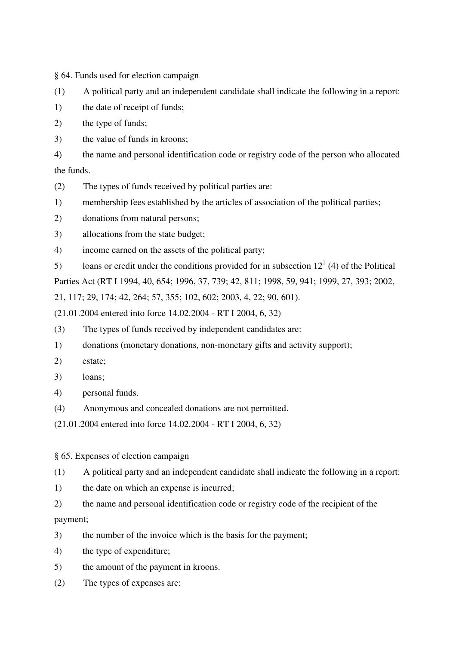§ 64. Funds used for election campaign

(1) A political party and an independent candidate shall indicate the following in a report:

1) the date of receipt of funds;

2) the type of funds;

3) the value of funds in kroons;

4) the name and personal identification code or registry code of the person who allocated the funds.

- (2) The types of funds received by political parties are:
- 1) membership fees established by the articles of association of the political parties;
- 2) donations from natural persons;
- 3) allocations from the state budget;
- 4) income earned on the assets of the political party;
- 5) loans or credit under the conditions provided for in subsection  $12<sup>1</sup>$  (4) of the Political

Parties Act (RT I 1994, 40, 654; 1996, 37, 739; 42, 811; 1998, 59, 941; 1999, 27, 393; 2002,

21, 117; 29, 174; 42, 264; 57, 355; 102, 602; 2003, 4, 22; 90, 601).

(21.01.2004 entered into force 14.02.2004 - RT I 2004, 6, 32)

- (3) The types of funds received by independent candidates are:
- 1) donations (monetary donations, non-monetary gifts and activity support);
- 2) estate;
- 3) loans;
- 4) personal funds.
- (4) Anonymous and concealed donations are not permitted.

(21.01.2004 entered into force 14.02.2004 - RT I 2004, 6, 32)

§ 65. Expenses of election campaign

(1) A political party and an independent candidate shall indicate the following in a report:

1) the date on which an expense is incurred;

2) the name and personal identification code or registry code of the recipient of the payment;

3) the number of the invoice which is the basis for the payment;

- 4) the type of expenditure;
- 5) the amount of the payment in kroons.
- (2) The types of expenses are: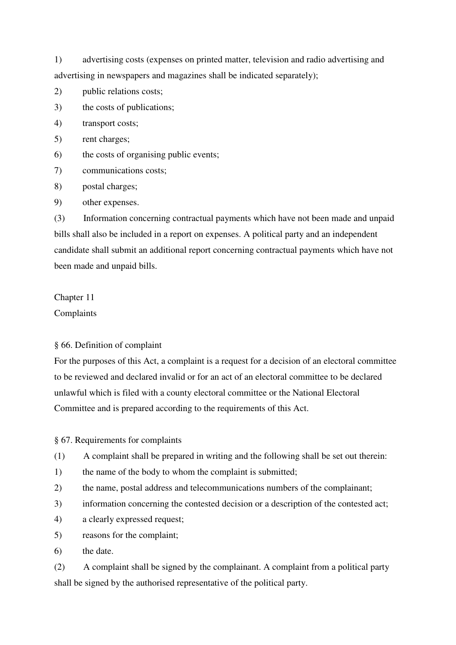1) advertising costs (expenses on printed matter, television and radio advertising and advertising in newspapers and magazines shall be indicated separately);

- 2) public relations costs;
- 3) the costs of publications;
- 4) transport costs;
- 5) rent charges;
- 6) the costs of organising public events;
- 7) communications costs;
- 8) postal charges;
- 9) other expenses.

(3) Information concerning contractual payments which have not been made and unpaid bills shall also be included in a report on expenses. A political party and an independent candidate shall submit an additional report concerning contractual payments which have not been made and unpaid bills.

## Chapter 11

Complaints

## § 66. Definition of complaint

For the purposes of this Act, a complaint is a request for a decision of an electoral committee to be reviewed and declared invalid or for an act of an electoral committee to be declared unlawful which is filed with a county electoral committee or the National Electoral Committee and is prepared according to the requirements of this Act.

§ 67. Requirements for complaints

- (1) A complaint shall be prepared in writing and the following shall be set out therein:
- 1) the name of the body to whom the complaint is submitted;
- 2) the name, postal address and telecommunications numbers of the complainant;
- 3) information concerning the contested decision or a description of the contested act;
- 4) a clearly expressed request;
- 5) reasons for the complaint;
- 6) the date.

(2) A complaint shall be signed by the complainant. A complaint from a political party shall be signed by the authorised representative of the political party.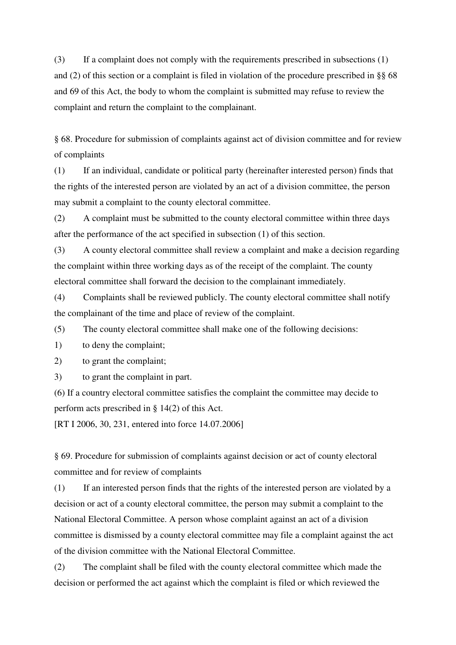(3) If a complaint does not comply with the requirements prescribed in subsections (1) and (2) of this section or a complaint is filed in violation of the procedure prescribed in §§ 68 and 69 of this Act, the body to whom the complaint is submitted may refuse to review the complaint and return the complaint to the complainant.

§ 68. Procedure for submission of complaints against act of division committee and for review of complaints

(1) If an individual, candidate or political party (hereinafter interested person) finds that the rights of the interested person are violated by an act of a division committee, the person may submit a complaint to the county electoral committee.

(2) A complaint must be submitted to the county electoral committee within three days after the performance of the act specified in subsection (1) of this section.

(3) A county electoral committee shall review a complaint and make a decision regarding the complaint within three working days as of the receipt of the complaint. The county electoral committee shall forward the decision to the complainant immediately.

(4) Complaints shall be reviewed publicly. The county electoral committee shall notify the complainant of the time and place of review of the complaint.

(5) The county electoral committee shall make one of the following decisions:

1) to deny the complaint;

2) to grant the complaint;

3) to grant the complaint in part.

(6) If a country electoral committee satisfies the complaint the committee may decide to perform acts prescribed in § 14(2) of this Act.

[RT I 2006, 30, 231, entered into force 14.07.2006]

§ 69. Procedure for submission of complaints against decision or act of county electoral committee and for review of complaints

(1) If an interested person finds that the rights of the interested person are violated by a decision or act of a county electoral committee, the person may submit a complaint to the National Electoral Committee. A person whose complaint against an act of a division committee is dismissed by a county electoral committee may file a complaint against the act of the division committee with the National Electoral Committee.

(2) The complaint shall be filed with the county electoral committee which made the decision or performed the act against which the complaint is filed or which reviewed the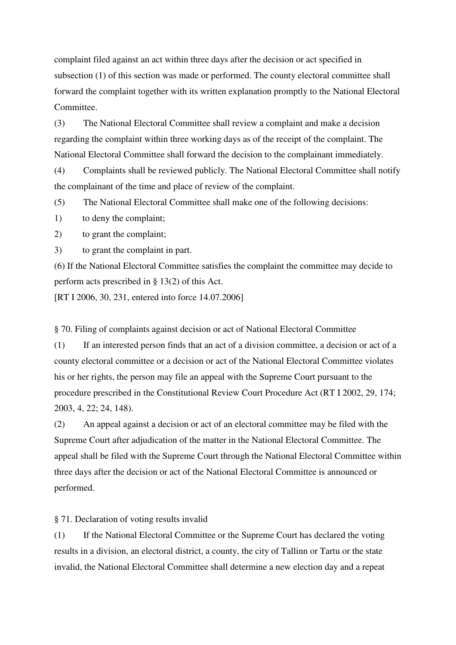complaint filed against an act within three days after the decision or act specified in subsection (1) of this section was made or performed. The county electoral committee shall forward the complaint together with its written explanation promptly to the National Electoral Committee.

(3) The National Electoral Committee shall review a complaint and make a decision regarding the complaint within three working days as of the receipt of the complaint. The National Electoral Committee shall forward the decision to the complainant immediately.

(4) Complaints shall be reviewed publicly. The National Electoral Committee shall notify the complainant of the time and place of review of the complaint.

(5) The National Electoral Committee shall make one of the following decisions:

1) to deny the complaint;

2) to grant the complaint;

3) to grant the complaint in part.

(6) If the National Electoral Committee satisfies the complaint the committee may decide to perform acts prescribed in § 13(2) of this Act.

[RT I 2006, 30, 231, entered into force 14.07.2006]

§ 70. Filing of complaints against decision or act of National Electoral Committee

(1) If an interested person finds that an act of a division committee, a decision or act of a county electoral committee or a decision or act of the National Electoral Committee violates his or her rights, the person may file an appeal with the Supreme Court pursuant to the procedure prescribed in the Constitutional Review Court Procedure Act (RT I 2002, 29, 174; 2003, 4, 22; 24, 148).

(2) An appeal against a decision or act of an electoral committee may be filed with the Supreme Court after adjudication of the matter in the National Electoral Committee. The appeal shall be filed with the Supreme Court through the National Electoral Committee within three days after the decision or act of the National Electoral Committee is announced or performed.

§ 71. Declaration of voting results invalid

(1) If the National Electoral Committee or the Supreme Court has declared the voting results in a division, an electoral district, a county, the city of Tallinn or Tartu or the state invalid, the National Electoral Committee shall determine a new election day and a repeat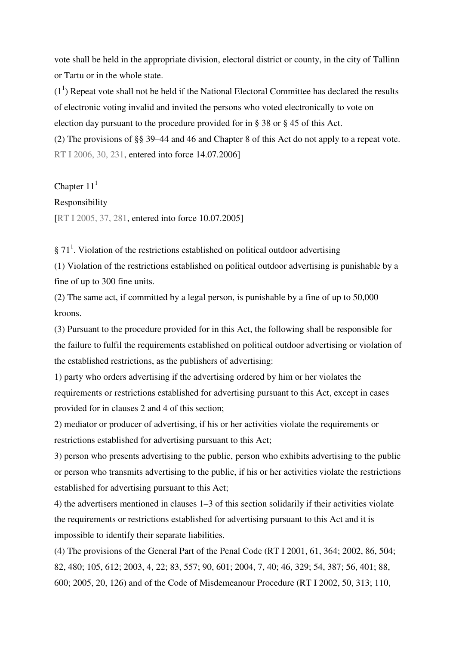vote shall be held in the appropriate division, electoral district or county, in the city of Tallinn or Tartu or in the whole state.

 $(1<sup>1</sup>)$  Repeat vote shall not be held if the National Electoral Committee has declared the results of electronic voting invalid and invited the persons who voted electronically to vote on election day pursuant to the procedure provided for in § 38 or § 45 of this Act.

(2) The provisions of §§ 39–44 and 46 and Chapter 8 of this Act do not apply to a repeat vote. RT I 2006, 30, 231, entered into force 14.07.2006]

Chapter  $11<sup>1</sup>$ 

#### Responsibility

[RT I 2005, 37, 281, entered into force 10.07.2005]

 $\S 71<sup>1</sup>$ . Violation of the restrictions established on political outdoor advertising

(1) Violation of the restrictions established on political outdoor advertising is punishable by a fine of up to 300 fine units.

(2) The same act, if committed by a legal person, is punishable by a fine of up to 50,000 kroons.

(3) Pursuant to the procedure provided for in this Act, the following shall be responsible for the failure to fulfil the requirements established on political outdoor advertising or violation of the established restrictions, as the publishers of advertising:

1) party who orders advertising if the advertising ordered by him or her violates the requirements or restrictions established for advertising pursuant to this Act, except in cases provided for in clauses 2 and 4 of this section;

2) mediator or producer of advertising, if his or her activities violate the requirements or restrictions established for advertising pursuant to this Act;

3) person who presents advertising to the public, person who exhibits advertising to the public or person who transmits advertising to the public, if his or her activities violate the restrictions established for advertising pursuant to this Act;

4) the advertisers mentioned in clauses 1–3 of this section solidarily if their activities violate the requirements or restrictions established for advertising pursuant to this Act and it is impossible to identify their separate liabilities.

(4) The provisions of the General Part of the Penal Code (RT I 2001, 61, 364; 2002, 86, 504; 82, 480; 105, 612; 2003, 4, 22; 83, 557; 90, 601; 2004, 7, 40; 46, 329; 54, 387; 56, 401; 88, 600; 2005, 20, 126) and of the Code of Misdemeanour Procedure (RT I 2002, 50, 313; 110,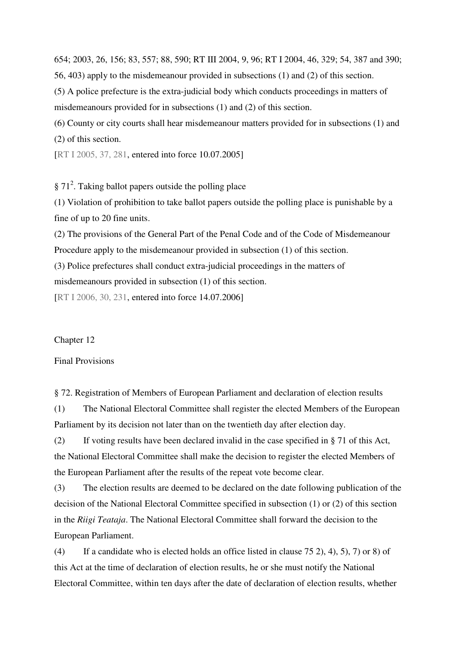654; 2003, 26, 156; 83, 557; 88, 590; RT III 2004, 9, 96; RT I 2004, 46, 329; 54, 387 and 390;

56, 403) apply to the misdemeanour provided in subsections (1) and (2) of this section.

(5) A police prefecture is the extra-judicial body which conducts proceedings in matters of misdemeanours provided for in subsections (1) and (2) of this section.

(6) County or city courts shall hear misdemeanour matters provided for in subsections (1) and (2) of this section.

[RT I 2005, 37, 281, entered into force 10.07.2005]

§ 71<sup>2</sup>. Taking ballot papers outside the polling place

(1) Violation of prohibition to take ballot papers outside the polling place is punishable by a fine of up to 20 fine units.

(2) The provisions of the General Part of the Penal Code and of the Code of Misdemeanour Procedure apply to the misdemeanour provided in subsection (1) of this section.

(3) Police prefectures shall conduct extra-judicial proceedings in the matters of

misdemeanours provided in subsection (1) of this section.

[RT I 2006, 30, 231, entered into force 14.07.2006]

#### Chapter 12

#### Final Provisions

§ 72. Registration of Members of European Parliament and declaration of election results

(1) The National Electoral Committee shall register the elected Members of the European Parliament by its decision not later than on the twentieth day after election day.

(2) If voting results have been declared invalid in the case specified in § 71 of this Act, the National Electoral Committee shall make the decision to register the elected Members of the European Parliament after the results of the repeat vote become clear.

(3) The election results are deemed to be declared on the date following publication of the decision of the National Electoral Committee specified in subsection (1) or (2) of this section in the *Riigi Teataja*. The National Electoral Committee shall forward the decision to the European Parliament.

(4) If a candidate who is elected holds an office listed in clause 75 2), 4), 5), 7) or 8) of this Act at the time of declaration of election results, he or she must notify the National Electoral Committee, within ten days after the date of declaration of election results, whether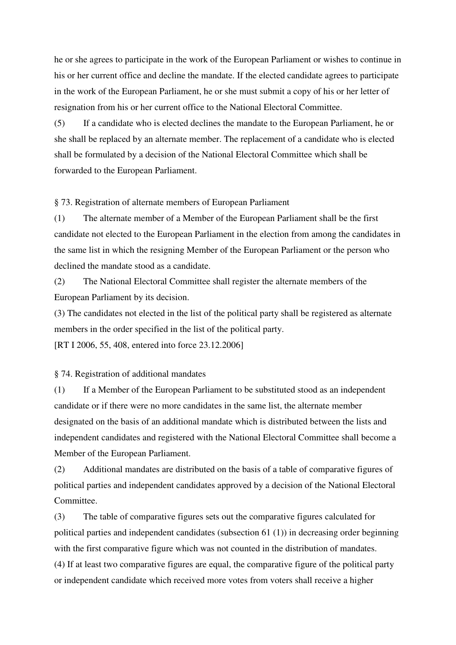he or she agrees to participate in the work of the European Parliament or wishes to continue in his or her current office and decline the mandate. If the elected candidate agrees to participate in the work of the European Parliament, he or she must submit a copy of his or her letter of resignation from his or her current office to the National Electoral Committee.

(5) If a candidate who is elected declines the mandate to the European Parliament, he or she shall be replaced by an alternate member. The replacement of a candidate who is elected shall be formulated by a decision of the National Electoral Committee which shall be forwarded to the European Parliament.

§ 73. Registration of alternate members of European Parliament

(1) The alternate member of a Member of the European Parliament shall be the first candidate not elected to the European Parliament in the election from among the candidates in the same list in which the resigning Member of the European Parliament or the person who declined the mandate stood as a candidate.

(2) The National Electoral Committee shall register the alternate members of the European Parliament by its decision.

(3) The candidates not elected in the list of the political party shall be registered as alternate members in the order specified in the list of the political party.

[RT I 2006, 55, 408, entered into force 23.12.2006]

§ 74. Registration of additional mandates

(1) If a Member of the European Parliament to be substituted stood as an independent candidate or if there were no more candidates in the same list, the alternate member designated on the basis of an additional mandate which is distributed between the lists and independent candidates and registered with the National Electoral Committee shall become a Member of the European Parliament.

(2) Additional mandates are distributed on the basis of a table of comparative figures of political parties and independent candidates approved by a decision of the National Electoral Committee.

(3) The table of comparative figures sets out the comparative figures calculated for political parties and independent candidates (subsection 61 (1)) in decreasing order beginning with the first comparative figure which was not counted in the distribution of mandates. (4) If at least two comparative figures are equal, the comparative figure of the political party or independent candidate which received more votes from voters shall receive a higher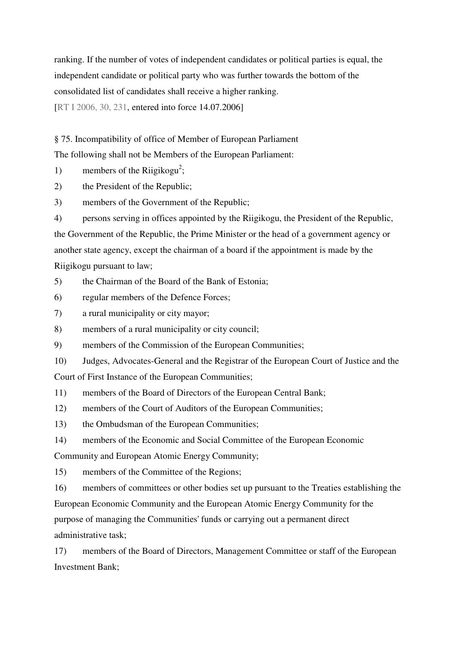ranking. If the number of votes of independent candidates or political parties is equal, the independent candidate or political party who was further towards the bottom of the consolidated list of candidates shall receive a higher ranking.

[RT I 2006, 30, 231, entered into force 14.07.2006]

§ 75. Incompatibility of office of Member of European Parliament

The following shall not be Members of the European Parliament:

- 1) members of the Riigikogu<sup>2</sup>;
- 2) the President of the Republic;
- 3) members of the Government of the Republic;

4) persons serving in offices appointed by the Riigikogu, the President of the Republic, the Government of the Republic, the Prime Minister or the head of a government agency or another state agency, except the chairman of a board if the appointment is made by the Riigikogu pursuant to law;

- 5) the Chairman of the Board of the Bank of Estonia;
- 6) regular members of the Defence Forces;
- 7) a rural municipality or city mayor;
- 8) members of a rural municipality or city council;
- 9) members of the Commission of the European Communities;
- 10) Judges, Advocates-General and the Registrar of the European Court of Justice and the

Court of First Instance of the European Communities;

11) members of the Board of Directors of the European Central Bank;

- 12) members of the Court of Auditors of the European Communities;
- 13) the Ombudsman of the European Communities;
- 14) members of the Economic and Social Committee of the European Economic

Community and European Atomic Energy Community;

15) members of the Committee of the Regions;

16) members of committees or other bodies set up pursuant to the Treaties establishing the European Economic Community and the European Atomic Energy Community for the purpose of managing the Communities'funds or carrying out a permanent direct administrative task;

17) members of the Board of Directors, Management Committee or staff of the European Investment Bank;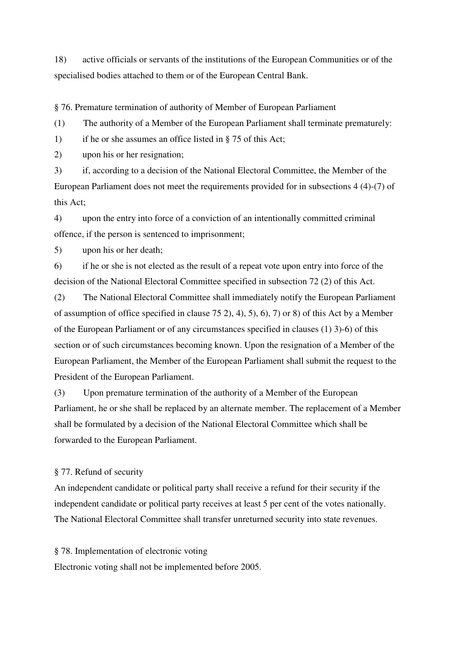18) active officials or servants of the institutions of the European Communities or of the specialised bodies attached to them or of the European Central Bank.

§ 76. Premature termination of authority of Member of European Parliament

(1) The authority of a Member of the European Parliament shall terminate prematurely:

1) if he or she assumes an office listed in § 75 of this Act;

2) upon his or her resignation;

3) if, according to a decision of the National Electoral Committee, the Member of the European Parliament does not meet the requirements provided for in subsections 4 (4)-(7) of this Act;

4) upon the entry into force of a conviction of an intentionally committed criminal offence, if the person is sentenced to imprisonment;

5) upon his or her death;

6) if he or she is not elected as the result of a repeat vote upon entry into force of the decision of the National Electoral Committee specified in subsection 72 (2) of this Act.

(2) The National Electoral Committee shall immediately notify the European Parliament of assumption of office specified in clause 75 2), 4), 5), 6), 7) or 8) of this Act by a Member of the European Parliament or of any circumstances specified in clauses (1) 3)-6) of this section or of such circumstances becoming known. Upon the resignation of a Member of the European Parliament, the Member of the European Parliament shall submit the request to the President of the European Parliament.

(3) Upon premature termination of the authority of a Member of the European Parliament, he or she shall be replaced by an alternate member. The replacement of a Member shall be formulated by a decision of the National Electoral Committee which shall be forwarded to the European Parliament.

## § 77. Refund of security

An independent candidate or political party shall receive a refund for their security if the independent candidate or political party receives at least 5 per cent of the votes nationally. The National Electoral Committee shall transfer unreturned security into state revenues.

§ 78. Implementation of electronic voting

Electronic voting shall not be implemented before 2005.